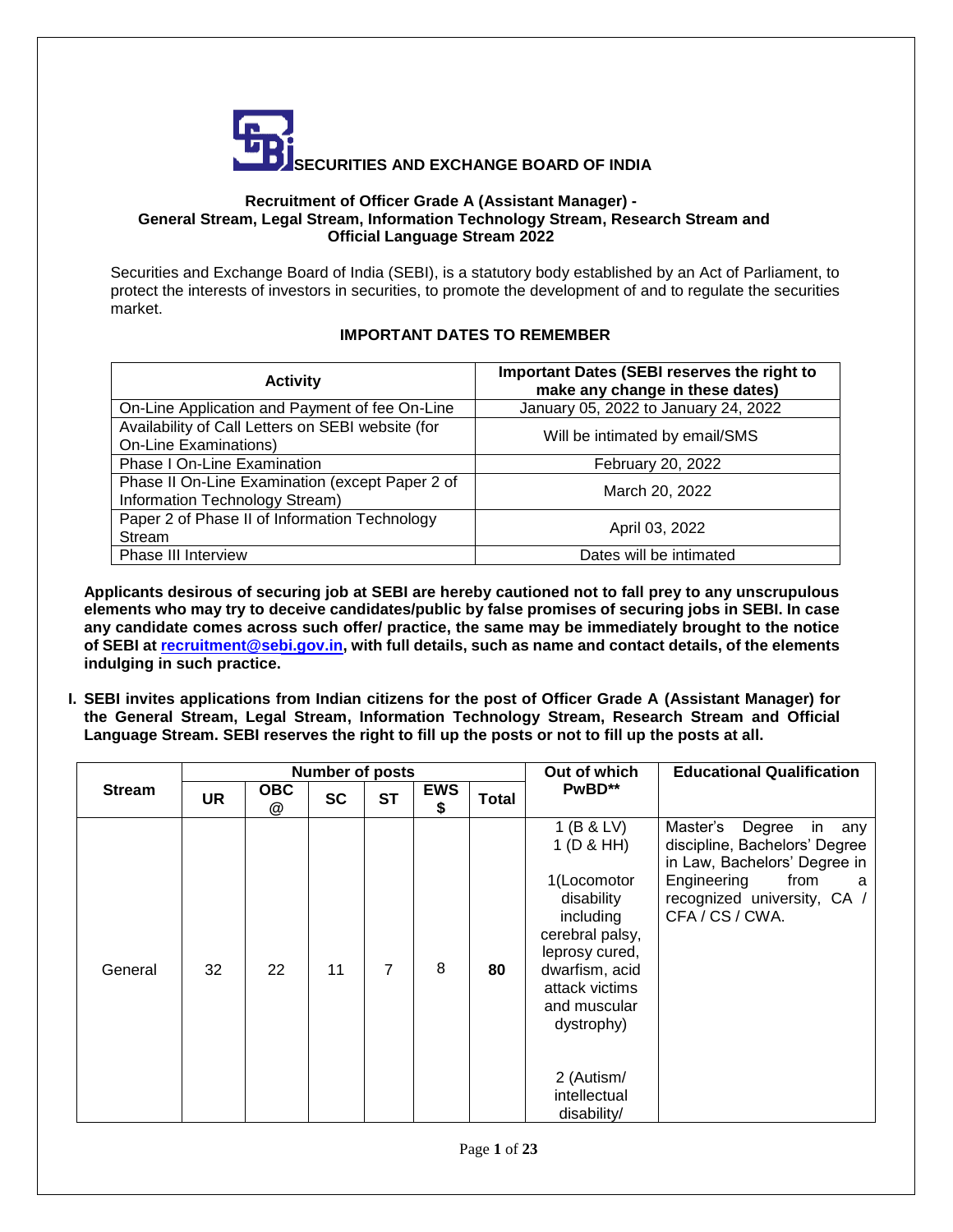

## **Recruitment of Officer Grade A (Assistant Manager) - General Stream, Legal Stream, Information Technology Stream, Research Stream and Official Language Stream 2022**

Securities and Exchange Board of India (SEBI), is a statutory body established by an Act of Parliament, to protect the interests of investors in securities, to promote the development of and to regulate the securities market.

# **IMPORTANT DATES TO REMEMBER**

| <b>Activity</b>                                                                   | Important Dates (SEBI reserves the right to<br>make any change in these dates) |
|-----------------------------------------------------------------------------------|--------------------------------------------------------------------------------|
| On-Line Application and Payment of fee On-Line                                    | January 05, 2022 to January 24, 2022                                           |
| Availability of Call Letters on SEBI website (for<br><b>On-Line Examinations)</b> | Will be intimated by email/SMS                                                 |
| Phase I On-Line Examination                                                       | February 20, 2022                                                              |
| Phase II On-Line Examination (except Paper 2 of<br>Information Technology Stream) | March 20, 2022                                                                 |
| Paper 2 of Phase II of Information Technology<br>Stream                           | April 03, 2022                                                                 |
| <b>Phase III Interview</b>                                                        | Dates will be intimated                                                        |

**Applicants desirous of securing job at SEBI are hereby cautioned not to fall prey to any unscrupulous elements who may try to deceive candidates/public by false promises of securing jobs in SEBI. In case any candidate comes across such offer/ practice, the same may be immediately brought to the notice of SEBI at [recruitment@sebi.gov.in,](mailto:recruitment@sebi.gov.in) with full details, such as name and contact details, of the elements indulging in such practice.**

**I. SEBI invites applications from Indian citizens for the post of Officer Grade A (Assistant Manager) for the General Stream, Legal Stream, Information Technology Stream, Research Stream and Official Language Stream. SEBI reserves the right to fill up the posts or not to fill up the posts at all.**

|               |    |                 | <b>Number of posts</b> |                |                  |              | Out of which                                                                                                                                                                                                         | <b>Educational Qualification</b>                                                                                                                                           |
|---------------|----|-----------------|------------------------|----------------|------------------|--------------|----------------------------------------------------------------------------------------------------------------------------------------------------------------------------------------------------------------------|----------------------------------------------------------------------------------------------------------------------------------------------------------------------------|
| <b>Stream</b> | UR | <b>OBC</b><br>@ | <b>SC</b>              | <b>ST</b>      | <b>EWS</b><br>\$ | <b>Total</b> | PwBD**                                                                                                                                                                                                               |                                                                                                                                                                            |
| General       | 32 | 22              | 11                     | $\overline{7}$ | 8                | 80           | 1 (B & LV)<br>1(D & H)<br>1(Locomotor<br>disability<br>including<br>cerebral palsy,<br>leprosy cured,<br>dwarfism, acid<br>attack victims<br>and muscular<br>dystrophy)<br>2 (Autism/<br>intellectual<br>disability/ | Master's<br>Degree<br>in<br>any<br>discipline, Bachelors' Degree<br>in Law, Bachelors' Degree in<br>Engineering<br>from<br>a<br>recognized university, CA /<br>CFA/CS/CWA. |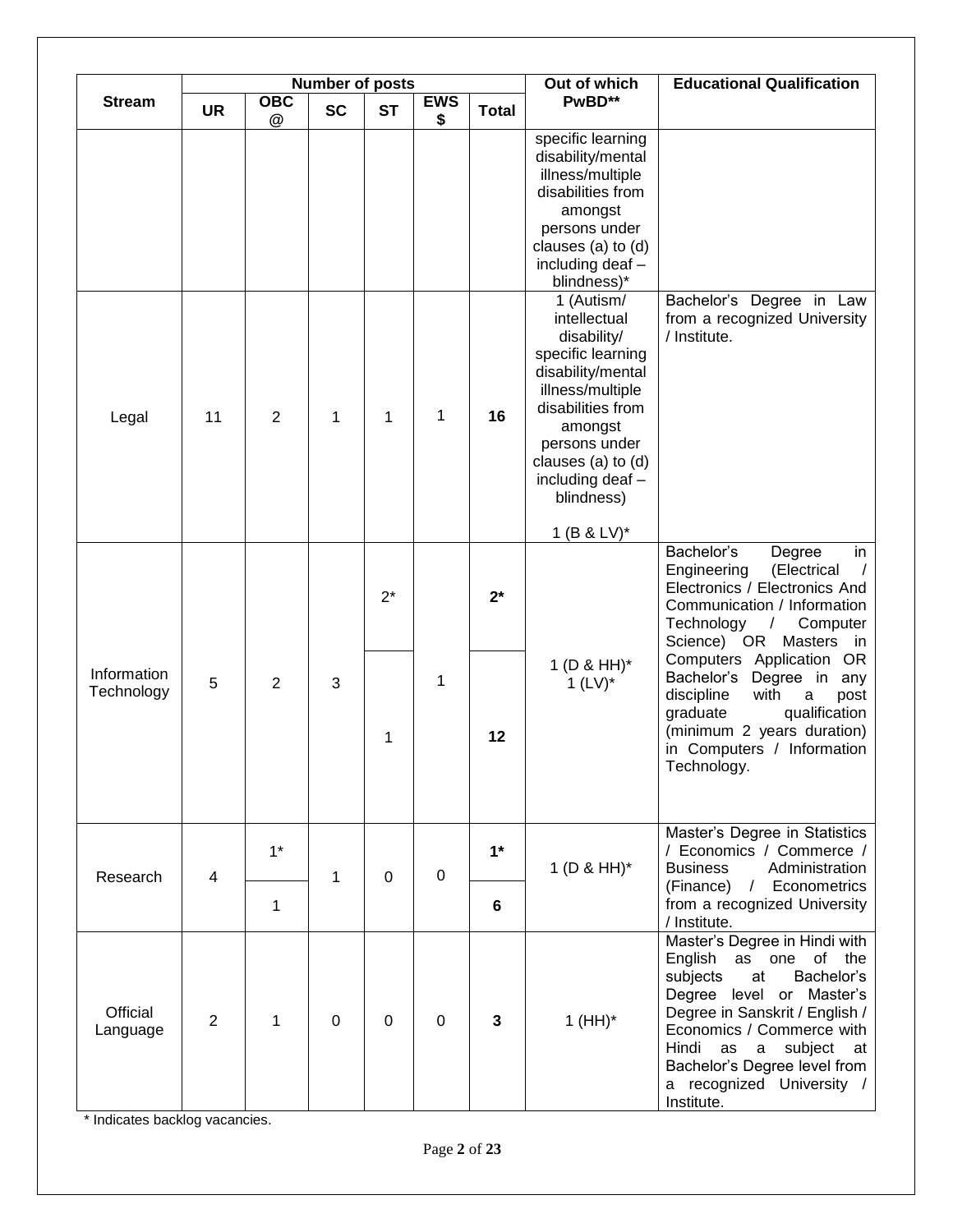|                           |                |                 | <b>Number of posts</b> |             |                  |              | Out of which                                                                                                                                                                                                     | <b>Educational Qualification</b>                                                                                                                                                                                                                                                                       |
|---------------------------|----------------|-----------------|------------------------|-------------|------------------|--------------|------------------------------------------------------------------------------------------------------------------------------------------------------------------------------------------------------------------|--------------------------------------------------------------------------------------------------------------------------------------------------------------------------------------------------------------------------------------------------------------------------------------------------------|
| <b>Stream</b>             | <b>UR</b>      | <b>OBC</b><br>@ | <b>SC</b>              | <b>ST</b>   | <b>EWS</b><br>\$ | <b>Total</b> | PwBD**                                                                                                                                                                                                           |                                                                                                                                                                                                                                                                                                        |
|                           |                |                 |                        |             |                  |              | specific learning<br>disability/mental<br>illness/multiple<br>disabilities from<br>amongst<br>persons under<br>clauses $(a)$ to $(d)$<br>including deaf -<br>blindness)*                                         |                                                                                                                                                                                                                                                                                                        |
| Legal                     | 11             | $\overline{2}$  | 1                      | 1           | 1                | 16           | 1 (Autism/<br>intellectual<br>disability/<br>specific learning<br>disability/mental<br>illness/multiple<br>disabilities from<br>amongst<br>persons under<br>clauses (a) to (d)<br>including deaf -<br>blindness) | Bachelor's Degree in Law<br>from a recognized University<br>/ Institute.                                                                                                                                                                                                                               |
|                           |                |                 |                        |             |                  |              | 1 (B & LV) $*$                                                                                                                                                                                                   | Bachelor's<br>Degree<br>in                                                                                                                                                                                                                                                                             |
|                           |                |                 |                        | $2^*$       |                  | $2^*$        |                                                                                                                                                                                                                  | Engineering<br>(Electrical<br>Electronics / Electronics And<br>Communication / Information<br>Technology<br>$\sqrt{2}$<br>Computer<br>Science) OR Masters in                                                                                                                                           |
| Information<br>Technology | 5              | $\overline{2}$  | 3                      | 1           | 1                | 12           | 1 ( $D$ & HH) <sup>*</sup><br>1 $(LV)^*$                                                                                                                                                                         | Computers Application OR<br>Bachelor's Degree in any<br>discipline<br>with<br>a<br>post<br>qualification<br>graduate<br>(minimum 2 years duration)<br>in Computers / Information<br>Technology.                                                                                                        |
| Research                  | 4              | $1^*$           | 1                      | $\mathbf 0$ | $\mathbf 0$      | $1^*$        | $1(D & HH)^*$                                                                                                                                                                                                    | Master's Degree in Statistics<br>/ Economics / Commerce /<br><b>Business</b><br>Administration                                                                                                                                                                                                         |
|                           |                | 1               |                        |             |                  | 6            |                                                                                                                                                                                                                  | (Finance) / Econometrics<br>from a recognized University<br>/ Institute.                                                                                                                                                                                                                               |
| Official<br>Language      | $\overline{2}$ | 1               | 0                      | $\mathbf 0$ | 0                | $\mathbf{3}$ | $1(HH)^*$                                                                                                                                                                                                        | Master's Degree in Hindi with<br>English as one of the<br>at<br>subjects<br>Bachelor's<br>Degree level or Master's<br>Degree in Sanskrit / English /<br>Economics / Commerce with<br>Hindi as<br>subject at<br>$\mathbf{a}$<br>Bachelor's Degree level from<br>a recognized University /<br>Institute. |

\* Indicates backlog vacancies.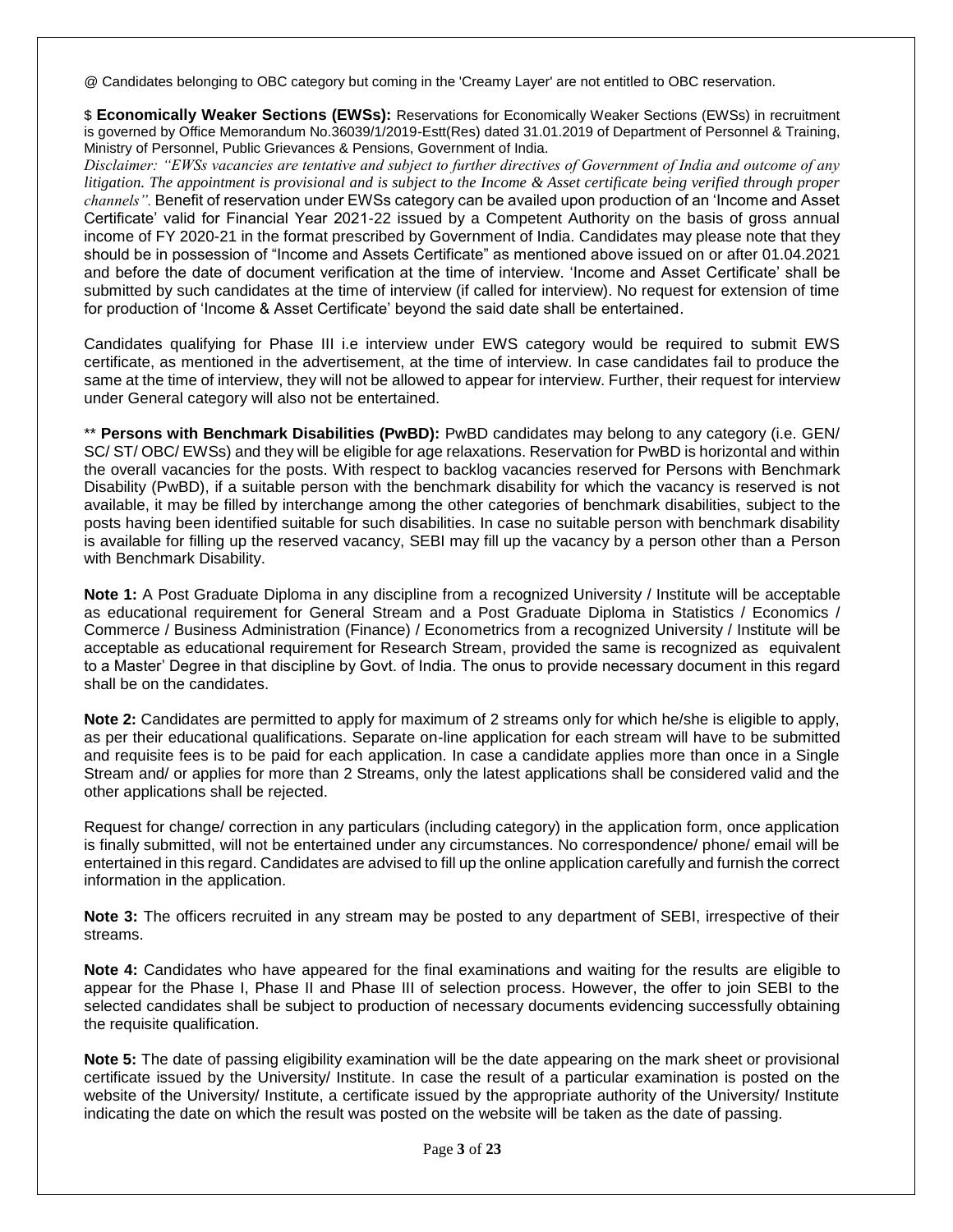@ Candidates belonging to OBC category but coming in the 'Creamy Layer' are not entitled to OBC reservation.

\$ **Economically Weaker Sections (EWSs):** Reservations for Economically Weaker Sections (EWSs) in recruitment is governed by Office Memorandum No.36039/1/2019-Estt(Res) dated 31.01.2019 of Department of Personnel & Training, Ministry of Personnel, Public Grievances & Pensions, Government of India.

*Disclaimer: "EWSs vacancies are tentative and subject to further directives of Government of India and outcome of any litigation. The appointment is provisional and is subject to the Income & Asset certificate being verified through proper channels".* Benefit of reservation under EWSs category can be availed upon production of an 'Income and Asset Certificate' valid for Financial Year 2021-22 issued by a Competent Authority on the basis of gross annual income of FY 2020-21 in the format prescribed by Government of India. Candidates may please note that they should be in possession of "Income and Assets Certificate" as mentioned above issued on or after 01.04.2021 and before the date of document verification at the time of interview. 'Income and Asset Certificate' shall be submitted by such candidates at the time of interview (if called for interview). No request for extension of time for production of 'Income & Asset Certificate' beyond the said date shall be entertained.

Candidates qualifying for Phase III i.e interview under EWS category would be required to submit EWS certificate, as mentioned in the advertisement, at the time of interview. In case candidates fail to produce the same at the time of interview, they will not be allowed to appear for interview. Further, their request for interview under General category will also not be entertained.

\*\* **Persons with Benchmark Disabilities (PwBD):** PwBD candidates may belong to any category (i.e. GEN/ SC/ ST/ OBC/ EWSs) and they will be eligible for age relaxations. Reservation for PwBD is horizontal and within the overall vacancies for the posts. With respect to backlog vacancies reserved for Persons with Benchmark Disability (PwBD), if a suitable person with the benchmark disability for which the vacancy is reserved is not available, it may be filled by interchange among the other categories of benchmark disabilities, subject to the posts having been identified suitable for such disabilities. In case no suitable person with benchmark disability is available for filling up the reserved vacancy, SEBI may fill up the vacancy by a person other than a Person with Benchmark Disability.

**Note 1:** A Post Graduate Diploma in any discipline from a recognized University / Institute will be acceptable as educational requirement for General Stream and a Post Graduate Diploma in Statistics / Economics / Commerce / Business Administration (Finance) / Econometrics from a recognized University / Institute will be acceptable as educational requirement for Research Stream, provided the same is recognized as equivalent to a Master' Degree in that discipline by Govt. of India. The onus to provide necessary document in this regard shall be on the candidates.

**Note 2:** Candidates are permitted to apply for maximum of 2 streams only for which he/she is eligible to apply, as per their educational qualifications. Separate on-line application for each stream will have to be submitted and requisite fees is to be paid for each application. In case a candidate applies more than once in a Single Stream and/ or applies for more than 2 Streams, only the latest applications shall be considered valid and the other applications shall be rejected.

Request for change/ correction in any particulars (including category) in the application form, once application is finally submitted, will not be entertained under any circumstances. No correspondence/ phone/ email will be entertained in this regard. Candidates are advised to fill up the online application carefully and furnish the correct information in the application.

**Note 3:** The officers recruited in any stream may be posted to any department of SEBI, irrespective of their streams.

**Note 4:** Candidates who have appeared for the final examinations and waiting for the results are eligible to appear for the Phase I, Phase II and Phase III of selection process. However, the offer to join SEBI to the selected candidates shall be subject to production of necessary documents evidencing successfully obtaining the requisite qualification.

**Note 5:** The date of passing eligibility examination will be the date appearing on the mark sheet or provisional certificate issued by the University/ Institute. In case the result of a particular examination is posted on the website of the University/ Institute, a certificate issued by the appropriate authority of the University/ Institute indicating the date on which the result was posted on the website will be taken as the date of passing.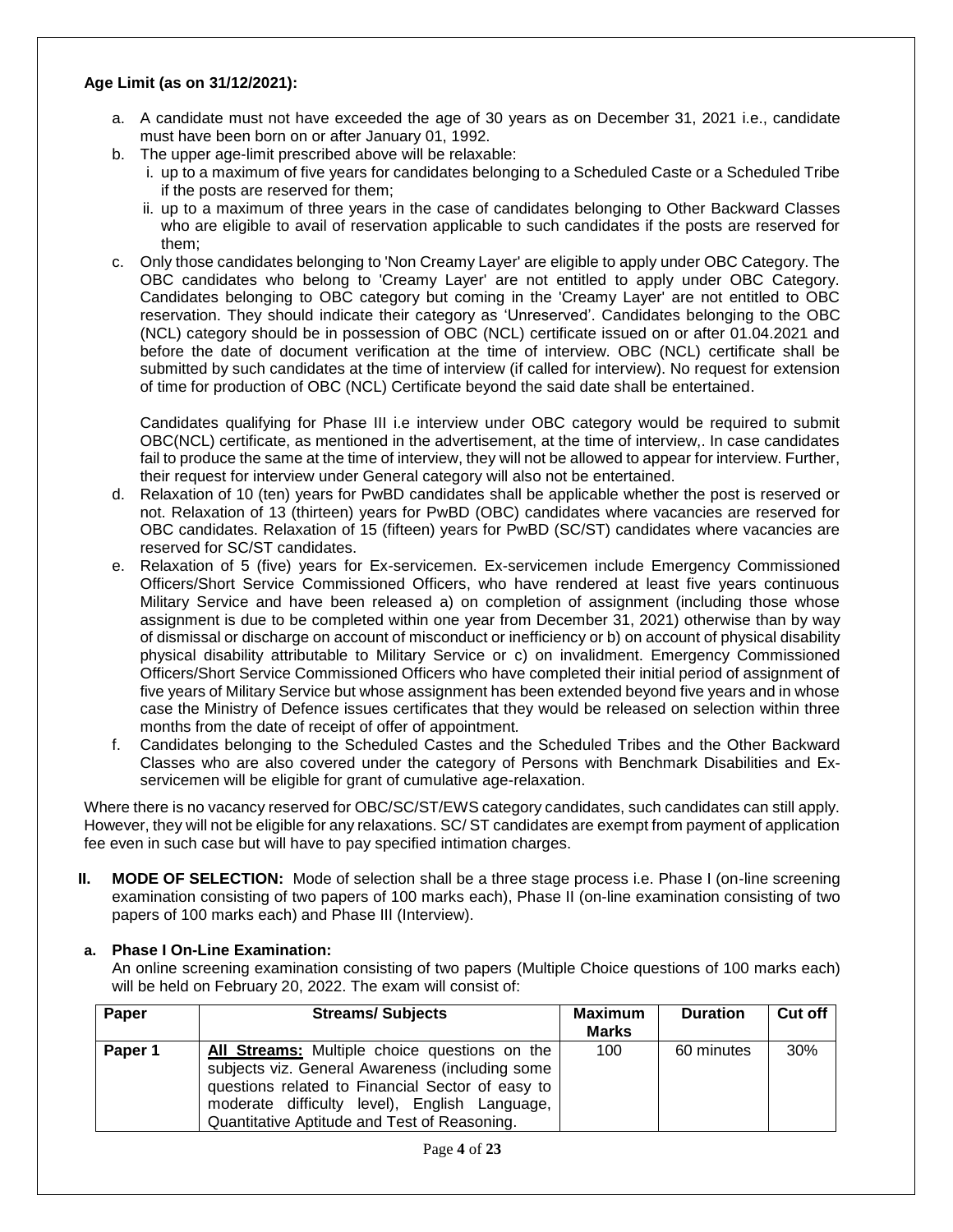## **Age Limit (as on 31/12/2021):**

- a. A candidate must not have exceeded the age of 30 years as on December 31, 2021 i.e., candidate must have been born on or after January 01, 1992.
- b. The upper age-limit prescribed above will be relaxable:
	- i. up to a maximum of five years for candidates belonging to a Scheduled Caste or a Scheduled Tribe if the posts are reserved for them;
	- ii. up to a maximum of three years in the case of candidates belonging to Other Backward Classes who are eligible to avail of reservation applicable to such candidates if the posts are reserved for them;
- c. Only those candidates belonging to 'Non Creamy Layer' are eligible to apply under OBC Category. The OBC candidates who belong to 'Creamy Layer' are not entitled to apply under OBC Category. Candidates belonging to OBC category but coming in the 'Creamy Layer' are not entitled to OBC reservation. They should indicate their category as 'Unreserved'. Candidates belonging to the OBC (NCL) category should be in possession of OBC (NCL) certificate issued on or after 01.04.2021 and before the date of document verification at the time of interview. OBC (NCL) certificate shall be submitted by such candidates at the time of interview (if called for interview). No request for extension of time for production of OBC (NCL) Certificate beyond the said date shall be entertained.

Candidates qualifying for Phase III i.e interview under OBC category would be required to submit OBC(NCL) certificate, as mentioned in the advertisement, at the time of interview,. In case candidates fail to produce the same at the time of interview, they will not be allowed to appear for interview. Further, their request for interview under General category will also not be entertained.

- d. Relaxation of 10 (ten) years for PwBD candidates shall be applicable whether the post is reserved or not. Relaxation of 13 (thirteen) years for PwBD (OBC) candidates where vacancies are reserved for OBC candidates. Relaxation of 15 (fifteen) years for PwBD (SC/ST) candidates where vacancies are reserved for SC/ST candidates.
- e. Relaxation of 5 (five) years for Ex-servicemen. Ex-servicemen include Emergency Commissioned Officers/Short Service Commissioned Officers, who have rendered at least five years continuous Military Service and have been released a) on completion of assignment (including those whose assignment is due to be completed within one year from December 31, 2021) otherwise than by way of dismissal or discharge on account of misconduct or inefficiency or b) on account of physical disability physical disability attributable to Military Service or c) on invalidment. Emergency Commissioned Officers/Short Service Commissioned Officers who have completed their initial period of assignment of five years of Military Service but whose assignment has been extended beyond five years and in whose case the Ministry of Defence issues certificates that they would be released on selection within three months from the date of receipt of offer of appointment*.*
- f. Candidates belonging to the Scheduled Castes and the Scheduled Tribes and the Other Backward Classes who are also covered under the category of Persons with Benchmark Disabilities and Exservicemen will be eligible for grant of cumulative age-relaxation.

Where there is no vacancy reserved for OBC/SC/ST/EWS category candidates, such candidates can still apply. However, they will not be eligible for any relaxations. SC/ ST candidates are exempt from payment of application fee even in such case but will have to pay specified intimation charges.

**II. MODE OF SELECTION:** Mode of selection shall be a three stage process i.e. Phase I (on-line screening examination consisting of two papers of 100 marks each), Phase II (on-line examination consisting of two papers of 100 marks each) and Phase III (Interview).

#### **a. Phase I On-Line Examination:**

An online screening examination consisting of two papers (Multiple Choice questions of 100 marks each) will be held on February 20, 2022. The exam will consist of:

| Paper   | <b>Streams/ Subjects</b>                                                                          | <b>Maximum</b> | <b>Duration</b> | Cut off |
|---------|---------------------------------------------------------------------------------------------------|----------------|-----------------|---------|
|         |                                                                                                   | <b>Marks</b>   |                 |         |
| Paper 1 | All Streams: Multiple choice questions on the<br>subjects viz. General Awareness (including some  | 100            | 60 minutes      | 30%     |
|         | questions related to Financial Sector of easy to<br>moderate difficulty level), English Language, |                |                 |         |
|         | Quantitative Aptitude and Test of Reasoning.                                                      |                |                 |         |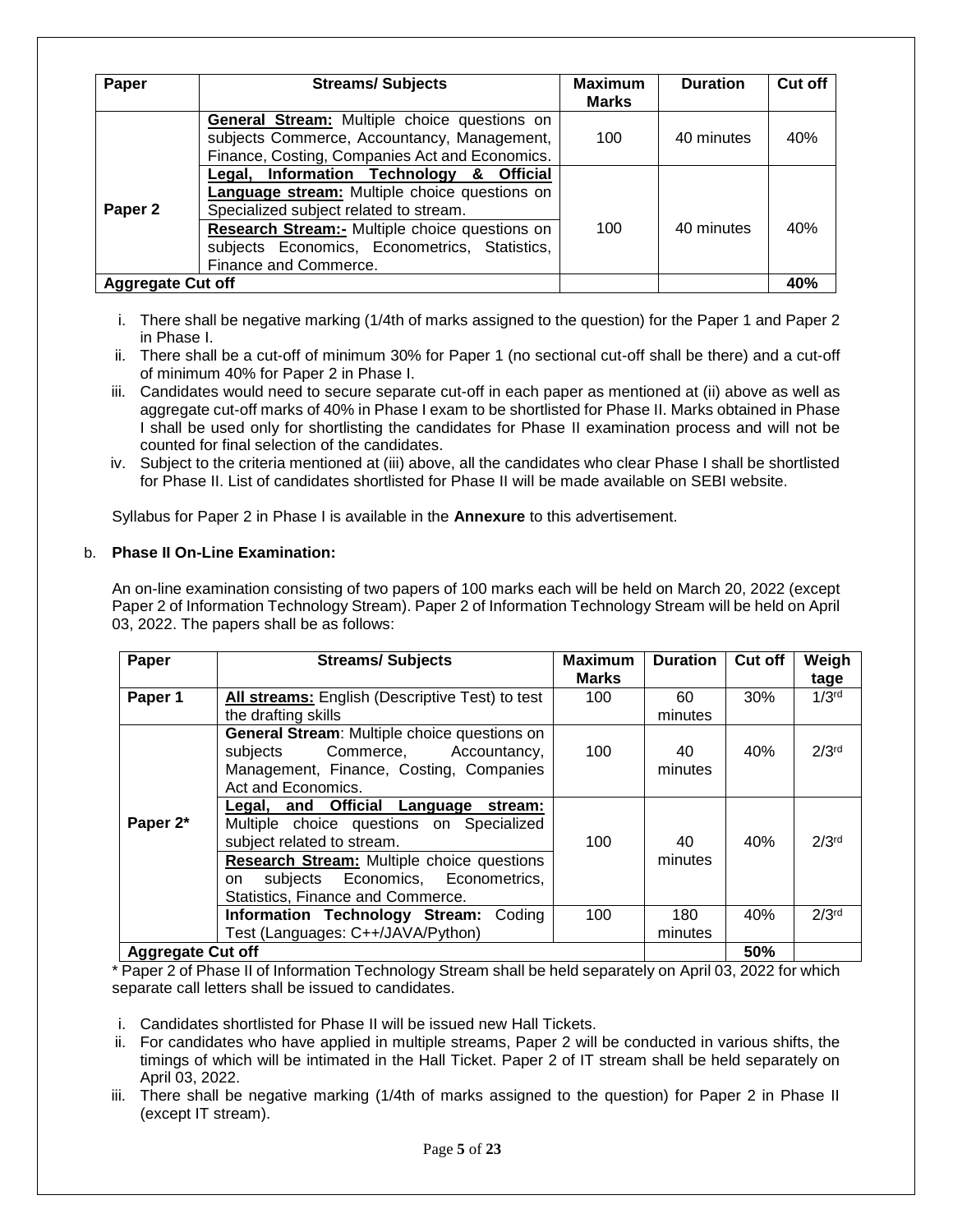| Paper                    | <b>Streams/ Subjects</b>                                                                                                                                                                                                                                                          | <b>Maximum</b><br><b>Marks</b> | <b>Duration</b> | Cut off |
|--------------------------|-----------------------------------------------------------------------------------------------------------------------------------------------------------------------------------------------------------------------------------------------------------------------------------|--------------------------------|-----------------|---------|
|                          | <b>General Stream:</b> Multiple choice questions on<br>subjects Commerce, Accountancy, Management,<br>Finance, Costing, Companies Act and Economics.                                                                                                                              | 100                            | 40 minutes      | 40%     |
| Paper 2                  | Information Technology & Official<br>Legal,<br><b>Language stream:</b> Multiple choice questions on<br>Specialized subject related to stream.<br><b>Research Stream:</b> - Multiple choice questions on<br>subjects Economics, Econometrics, Statistics,<br>Finance and Commerce. | 100                            | 40 minutes      | 40%     |
| <b>Aggregate Cut off</b> |                                                                                                                                                                                                                                                                                   |                                |                 | 40%     |

- i. There shall be negative marking (1/4th of marks assigned to the question) for the Paper 1 and Paper 2 in Phase I.
- ii. There shall be a cut-off of minimum 30% for Paper 1 (no sectional cut-off shall be there) and a cut-off of minimum 40% for Paper 2 in Phase I.
- iii. Candidates would need to secure separate cut-off in each paper as mentioned at (ii) above as well as aggregate cut-off marks of 40% in Phase I exam to be shortlisted for Phase II. Marks obtained in Phase I shall be used only for shortlisting the candidates for Phase II examination process and will not be counted for final selection of the candidates.
- iv. Subject to the criteria mentioned at (iii) above, all the candidates who clear Phase I shall be shortlisted for Phase II. List of candidates shortlisted for Phase II will be made available on SEBI website.

Syllabus for Paper 2 in Phase I is available in the **Annexure** to this advertisement.

## b. **Phase II On-Line Examination:**

An on-line examination consisting of two papers of 100 marks each will be held on March 20, 2022 (except Paper 2 of Information Technology Stream). Paper 2 of Information Technology Stream will be held on April 03, 2022. The papers shall be as follows:

| Paper                    | <b>Streams/ Subjects</b>                        | <b>Maximum</b> | <b>Duration</b> | <b>Cut off</b> | Weigh             |
|--------------------------|-------------------------------------------------|----------------|-----------------|----------------|-------------------|
|                          |                                                 | Marks          |                 |                | tage              |
| Paper 1                  | All streams: English (Descriptive Test) to test | 100            | 60              | 30%            | 1/3 <sup>rd</sup> |
|                          | the drafting skills                             |                | minutes         |                |                   |
|                          | General Stream: Multiple choice questions on    |                |                 |                |                   |
|                          | subjects<br>Commerce, Accountancy,              | 100            | 40              | 40%            | 2/3 <sup>rd</sup> |
|                          | Management, Finance, Costing, Companies         |                | minutes         |                |                   |
|                          | Act and Economics.                              |                |                 |                |                   |
|                          | Legal, and Official<br>Language<br>stream:      |                |                 |                |                   |
| Paper 2*                 | Multiple choice questions on Specialized        |                |                 |                |                   |
|                          | subject related to stream.                      | 100            | 40              | 40%            | $2/3$ rd          |
|                          | Research Stream: Multiple choice questions      |                | minutes         |                |                   |
|                          | subjects Economics, Econometrics,<br>on         |                |                 |                |                   |
|                          | Statistics, Finance and Commerce.               |                |                 |                |                   |
|                          | Information Technology Stream: Coding           | 100            | 180             | 40%            | 2/3 <sup>rd</sup> |
|                          | Test (Languages: C++/JAVA/Python)               |                | minutes         |                |                   |
| <b>Aggregate Cut off</b> |                                                 |                |                 | 50%            |                   |

\* Paper 2 of Phase II of Information Technology Stream shall be held separately on April 03, 2022 for which separate call letters shall be issued to candidates.

- i. Candidates shortlisted for Phase II will be issued new Hall Tickets.
- ii. For candidates who have applied in multiple streams, Paper 2 will be conducted in various shifts, the timings of which will be intimated in the Hall Ticket. Paper 2 of IT stream shall be held separately on April 03, 2022.
- iii. There shall be negative marking (1/4th of marks assigned to the question) for Paper 2 in Phase II (except IT stream).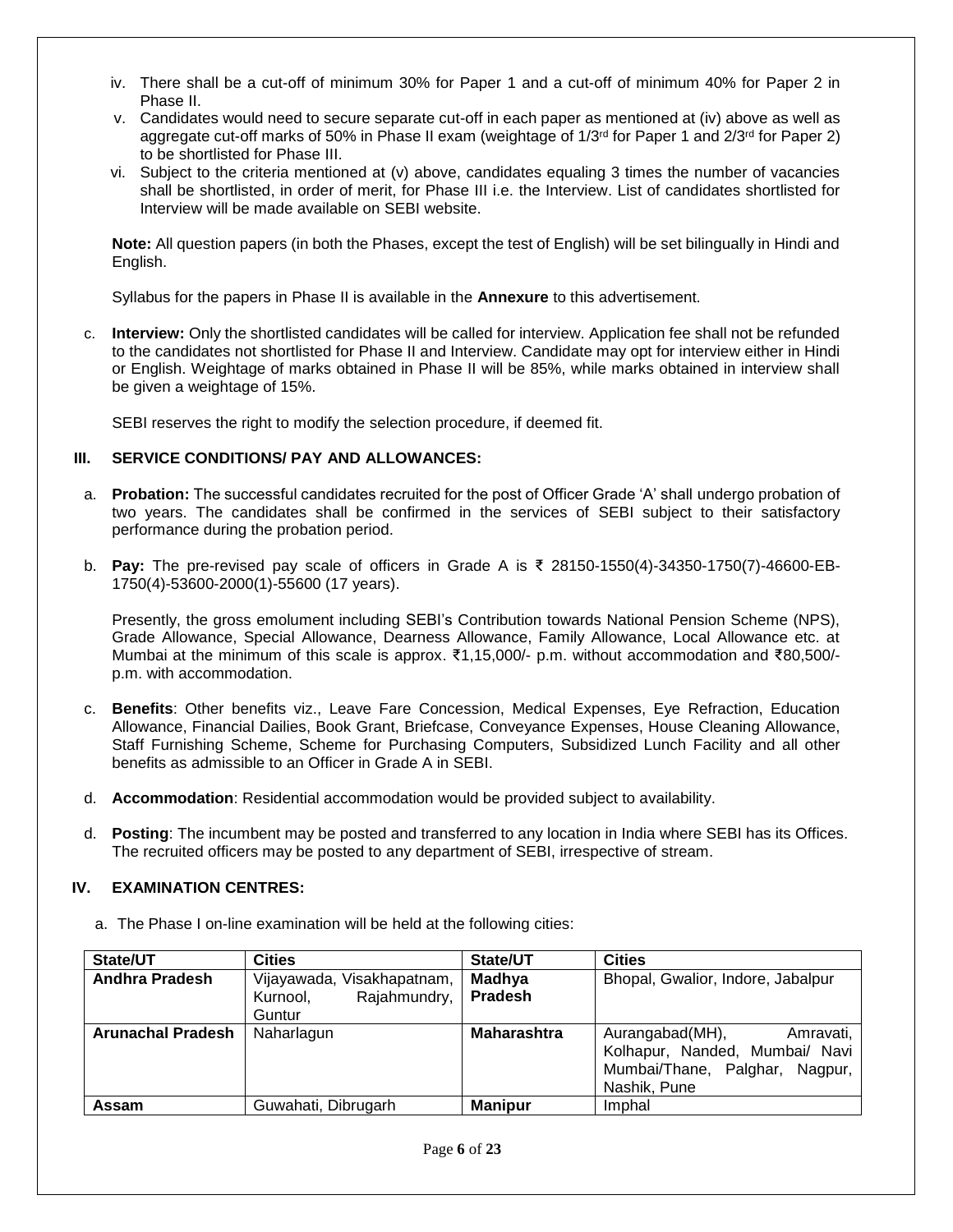- iv. There shall be a cut-off of minimum 30% for Paper 1 and a cut-off of minimum 40% for Paper 2 in Phase II.
- v. Candidates would need to secure separate cut-off in each paper as mentioned at (iv) above as well as aggregate cut-off marks of 50% in Phase II exam (weightage of 1/3<sup>rd</sup> for Paper 1 and 2/3<sup>rd</sup> for Paper 2) to be shortlisted for Phase III.
- vi. Subject to the criteria mentioned at (v) above, candidates equaling 3 times the number of vacancies shall be shortlisted, in order of merit, for Phase III i.e. the Interview. List of candidates shortlisted for Interview will be made available on SEBI website.

**Note:** All question papers (in both the Phases, except the test of English) will be set bilingually in Hindi and English.

Syllabus for the papers in Phase II is available in the **Annexure** to this advertisement.

c. **Interview:** Only the shortlisted candidates will be called for interview. Application fee shall not be refunded to the candidates not shortlisted for Phase II and Interview. Candidate may opt for interview either in Hindi or English. Weightage of marks obtained in Phase II will be 85%, while marks obtained in interview shall be given a weightage of 15%.

SEBI reserves the right to modify the selection procedure, if deemed fit.

## **III. SERVICE CONDITIONS/ PAY AND ALLOWANCES:**

- a. **Probation:** The successful candidates recruited for the post of Officer Grade 'A' shall undergo probation of two years. The candidates shall be confirmed in the services of SEBI subject to their satisfactory performance during the probation period.
- b. **Pay:** The pre-revised pay scale of officers in Grade A is ₹ 28150-1550(4)-34350-1750(7)-46600-EB-1750(4)-53600-2000(1)-55600 (17 years).

Presently, the gross emolument including SEBI's Contribution towards National Pension Scheme (NPS), Grade Allowance, Special Allowance, Dearness Allowance, Family Allowance, Local Allowance etc. at Mumbai at the minimum of this scale is approx. ₹1,15,000/- p.m. without accommodation and ₹80,500/ p.m. with accommodation.

- c. **Benefits**: Other benefits viz., Leave Fare Concession, Medical Expenses, Eye Refraction, Education Allowance, Financial Dailies, Book Grant, Briefcase, Conveyance Expenses, House Cleaning Allowance, Staff Furnishing Scheme, Scheme for Purchasing Computers, Subsidized Lunch Facility and all other benefits as admissible to an Officer in Grade A in SEBI.
- d. **Accommodation**: Residential accommodation would be provided subject to availability.
- d. **Posting**: The incumbent may be posted and transferred to any location in India where SEBI has its Offices. The recruited officers may be posted to any department of SEBI, irrespective of stream.

## **IV. EXAMINATION CENTRES:**

a. The Phase I on-line examination will be held at the following cities:

| <b>State/UT</b>          | <b>Cities</b>              | State/UT           | <b>Cities</b>                     |
|--------------------------|----------------------------|--------------------|-----------------------------------|
| <b>Andhra Pradesh</b>    | Vijayawada, Visakhapatnam, | Madhya             | Bhopal, Gwalior, Indore, Jabalpur |
|                          | Rajahmundry,<br>Kurnool.   | Pradesh            |                                   |
|                          | Guntur                     |                    |                                   |
| <b>Arunachal Pradesh</b> | Naharlagun                 | <b>Maharashtra</b> | Aurangabad(MH),<br>Amravati,      |
|                          |                            |                    | Kolhapur, Nanded, Mumbai/ Navi    |
|                          |                            |                    | Mumbai/Thane, Palghar,<br>Nagpur, |
|                          |                            |                    | Nashik, Pune                      |
| Assam                    | Guwahati, Dibrugarh        | <b>Manipur</b>     | Imphal                            |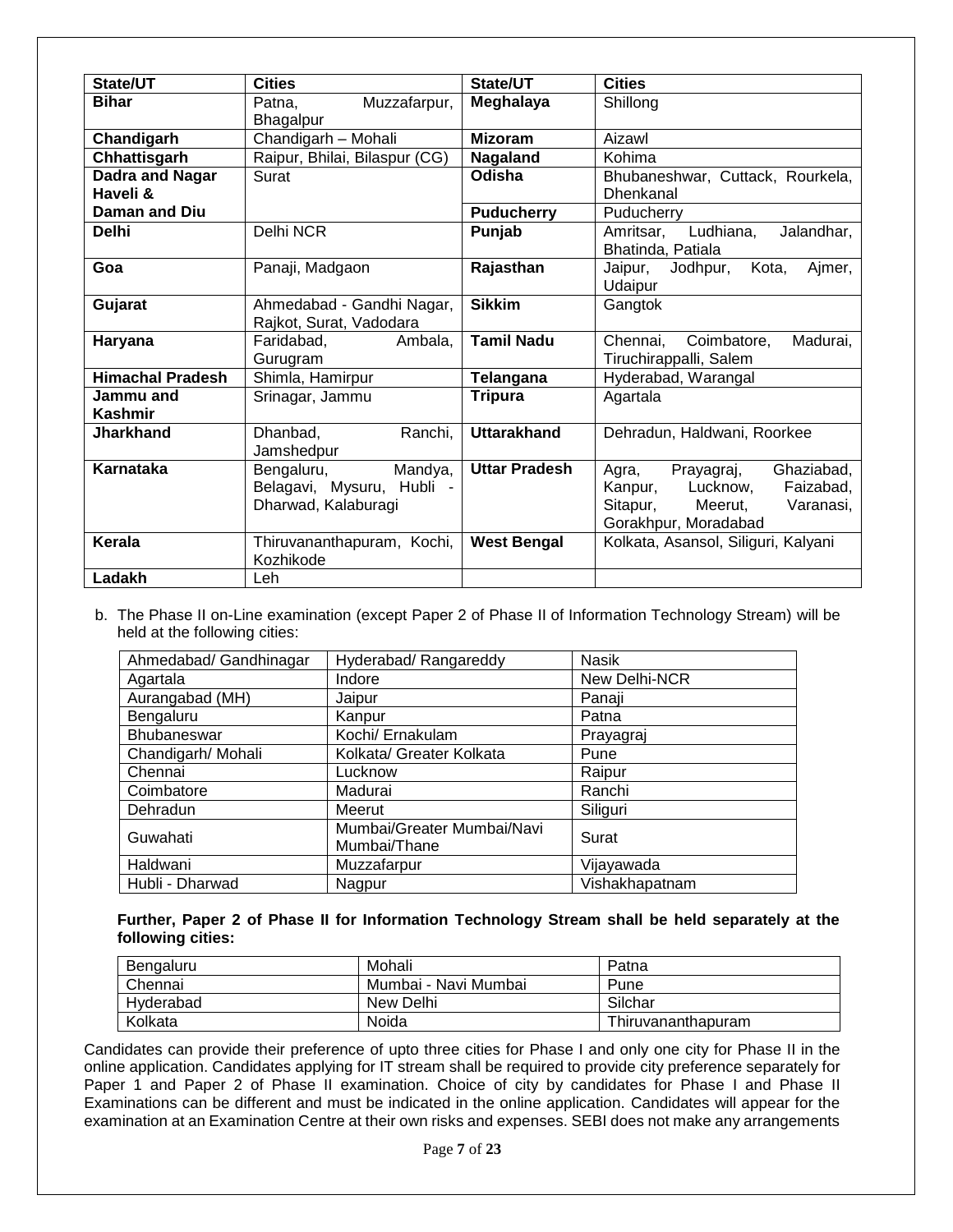| State/UT                | <b>Cities</b>                 | State/UT             | <b>Cities</b>                          |
|-------------------------|-------------------------------|----------------------|----------------------------------------|
| <b>Bihar</b>            | Muzzafarpur,<br>Patna.        | Meghalaya            | Shillong                               |
|                         | Bhagalpur                     |                      |                                        |
| Chandigarh              | Chandigarh - Mohali           | <b>Mizoram</b>       | Aizawl                                 |
| Chhattisgarh            | Raipur, Bhilai, Bilaspur (CG) | Nagaland             | Kohima                                 |
| <b>Dadra and Nagar</b>  | Surat                         | Odisha               | Bhubaneshwar, Cuttack, Rourkela,       |
| Haveli &                |                               |                      | Dhenkanal                              |
| Daman and Diu           |                               | <b>Puducherry</b>    | Puducherry                             |
| <b>Delhi</b>            | Delhi NCR                     | Punjab               | Ludhiana,<br>Jalandhar,<br>Amritsar,   |
|                         |                               |                      | Bhatinda, Patiala                      |
| Goa                     | Panaji, Madgaon               | Rajasthan            | Kota,<br>Ajmer,<br>Jaipur,<br>Jodhpur, |
|                         |                               |                      | Udaipur                                |
| Gujarat                 | Ahmedabad - Gandhi Nagar,     | <b>Sikkim</b>        | Gangtok                                |
|                         | Rajkot, Surat, Vadodara       |                      |                                        |
| Haryana                 | Faridabad,<br>Ambala,         | <b>Tamil Nadu</b>    | Chennai,<br>Coimbatore,<br>Madurai,    |
|                         | Gurugram                      |                      | Tiruchirappalli, Salem                 |
| <b>Himachal Pradesh</b> | Shimla, Hamirpur              | Telangana            | Hyderabad, Warangal                    |
| Jammu and               | Srinagar, Jammu               | <b>Tripura</b>       | Agartala                               |
| Kashmir                 |                               |                      |                                        |
| <b>Jharkhand</b>        | Dhanbad,<br>Ranchi,           | <b>Uttarakhand</b>   | Dehradun, Haldwani, Roorkee            |
|                         | Jamshedpur                    |                      |                                        |
| <b>Karnataka</b>        | Bengaluru,<br>Mandya,         | <b>Uttar Pradesh</b> | Ghaziabad,<br>Prayagraj,<br>Agra,      |
|                         | Belagavi, Mysuru, Hubli -     |                      | Lucknow,<br>Kanpur,<br>Faizabad.       |
|                         | Dharwad, Kalaburagi           |                      | Sitapur, Meerut,<br>Varanasi,          |
|                         |                               |                      | Gorakhpur, Moradabad                   |
| Kerala                  | Thiruvananthapuram, Kochi,    | <b>West Bengal</b>   | Kolkata, Asansol, Siliguri, Kalyani    |
|                         | Kozhikode                     |                      |                                        |
| Ladakh                  | Leh                           |                      |                                        |

b. The Phase II on-Line examination (except Paper 2 of Phase II of Information Technology Stream) will be held at the following cities:

| Ahmedabad/ Gandhinagar | Hyderabad/Rangareddy                       | Nasik          |
|------------------------|--------------------------------------------|----------------|
| Agartala               | Indore                                     | New Delhi-NCR  |
| Aurangabad (MH)        | Jaipur                                     | Panaji         |
| Bengaluru              | Kanpur                                     | Patna          |
| <b>Bhubaneswar</b>     | Kochi/ Ernakulam                           | Prayagraj      |
| Chandigarh/ Mohali     | Kolkata/ Greater Kolkata                   | Pune           |
| Chennai                | Lucknow                                    | Raipur         |
| Coimbatore             | Madurai                                    | Ranchi         |
| Dehradun               | Meerut                                     | Siliguri       |
| Guwahati               | Mumbai/Greater Mumbai/Navi<br>Mumbai/Thane | Surat          |
| Haldwani               | Muzzafarpur                                | Vijayawada     |
| Hubli - Dharwad        | Nagpur                                     | Vishakhapatnam |

#### **Further, Paper 2 of Phase II for Information Technology Stream shall be held separately at the following cities:**

| Bengaluru | Mohali               | Patna              |
|-----------|----------------------|--------------------|
| Chennai   | Mumbai - Navi Mumbai | Pune               |
| Hvderabad | New Delhi            | Silchar            |
| Kolkata   | Noida                | Thiruvananthapuram |

Candidates can provide their preference of upto three cities for Phase I and only one city for Phase II in the online application. Candidates applying for IT stream shall be required to provide city preference separately for Paper 1 and Paper 2 of Phase II examination. Choice of city by candidates for Phase I and Phase II Examinations can be different and must be indicated in the online application. Candidates will appear for the examination at an Examination Centre at their own risks and expenses. SEBI does not make any arrangements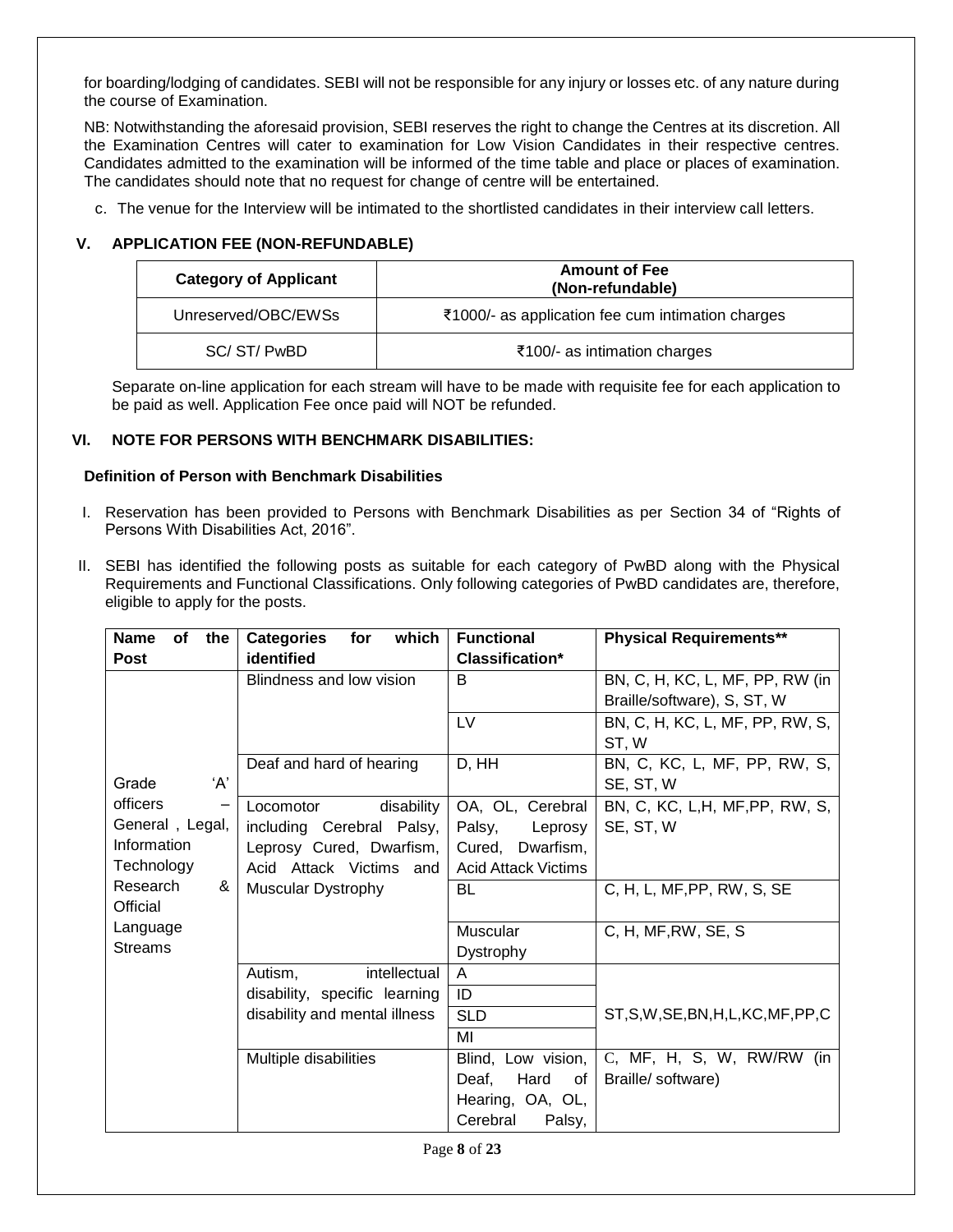for boarding/lodging of candidates. SEBI will not be responsible for any injury or losses etc. of any nature during the course of Examination.

NB: Notwithstanding the aforesaid provision, SEBI reserves the right to change the Centres at its discretion. All the Examination Centres will cater to examination for Low Vision Candidates in their respective centres. Candidates admitted to the examination will be informed of the time table and place or places of examination. The candidates should note that no request for change of centre will be entertained.

c. The venue for the Interview will be intimated to the shortlisted candidates in their interview call letters.

# **V. APPLICATION FEE (NON-REFUNDABLE)**

| <b>Category of Applicant</b> | <b>Amount of Fee</b><br>(Non-refundable)          |
|------------------------------|---------------------------------------------------|
| Unreserved/OBC/EWSs          | ₹1000/- as application fee cum intimation charges |
| SC/ST/PwBD                   | ₹100/- as intimation charges                      |

Separate on-line application for each stream will have to be made with requisite fee for each application to be paid as well. Application Fee once paid will NOT be refunded.

## **VI. NOTE FOR PERSONS WITH BENCHMARK DISABILITIES:**

#### **Definition of Person with Benchmark Disabilities**

- I. Reservation has been provided to Persons with Benchmark Disabilities as per Section 34 of "Rights of Persons With Disabilities Act, 2016".
- II. SEBI has identified the following posts as suitable for each category of PwBD along with the Physical Requirements and Functional Classifications. Only following categories of PwBD candidates are, therefore, eligible to apply for the posts.

| <b>Name</b><br>of<br>the | <b>Categories</b><br>for<br>which | <b>Functional</b>          | <b>Physical Requirements**</b>        |
|--------------------------|-----------------------------------|----------------------------|---------------------------------------|
| <b>Post</b>              | identified                        | <b>Classification*</b>     |                                       |
|                          | Blindness and low vision          | B                          | BN, C, H, KC, L, MF, PP, RW (in       |
|                          |                                   |                            | Braille/software), S, ST, W           |
|                          |                                   | LV                         | BN, C, H, KC, L, MF, PP, RW, S,       |
|                          |                                   |                            | ST, W                                 |
|                          | Deaf and hard of hearing          | D, HH                      | BN, C, KC, L, MF, PP, RW, S,          |
| A'<br>Grade              |                                   |                            | SE, ST, W                             |
| officers<br>-            | disability<br>Locomotor           | OA, OL, Cerebral           | BN, C, KC, L, H, MF, PP, RW, S,       |
| General, Legal,          | including Cerebral Palsy,         | Palsy,<br>Leprosy          | SE, ST, W                             |
| Information              | Leprosy Cured, Dwarfism,          | Cured, Dwarfism,           |                                       |
| Technology               | Acid Attack Victims and           | <b>Acid Attack Victims</b> |                                       |
| Research<br>&            | Muscular Dystrophy                | <b>BL</b>                  | C, H, L, MF, PP, RW, S, SE            |
| Official                 |                                   |                            |                                       |
| Language                 |                                   | Muscular                   | C, H, MF, RW, SE, S                   |
| <b>Streams</b>           |                                   | Dystrophy                  |                                       |
|                          | intellectual<br>Autism,           | A                          |                                       |
|                          | disability, specific learning     | ID                         |                                       |
|                          | disability and mental illness     | <b>SLD</b>                 | ST, S, W, SE, BN, H, L, KC, MF, PP, C |
|                          |                                   | ΜI                         |                                       |
|                          | Multiple disabilities             | Blind, Low vision,         | C, MF, H, S, W, RW/RW (in             |
|                          |                                   | Deaf.<br>Hard<br>of        | Braille/ software)                    |
|                          |                                   | Hearing, OA, OL,           |                                       |
|                          |                                   | Cerebral<br>Palsy,         |                                       |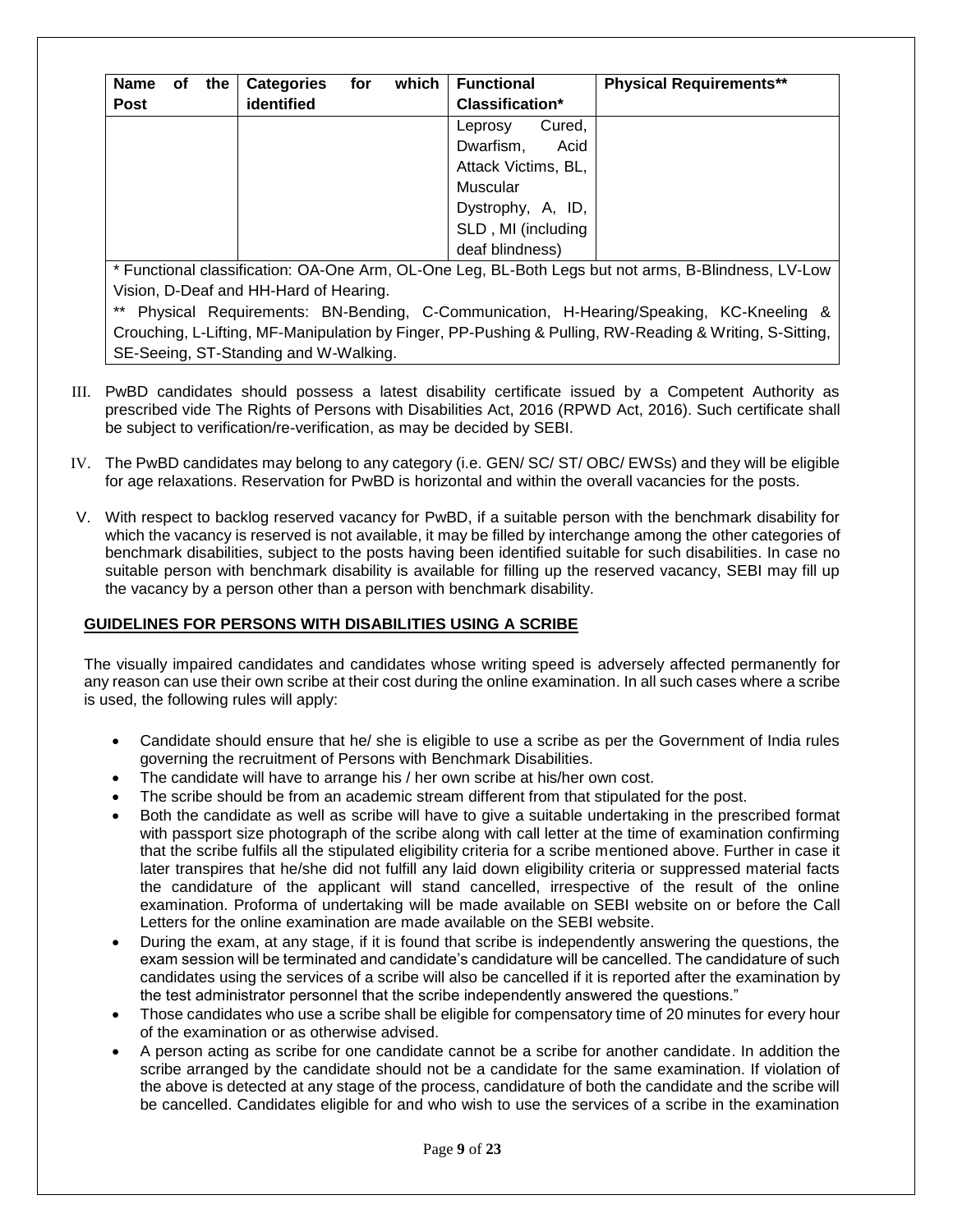| <b>Name</b>                                                                                         | оf | the | <b>Categories</b> | for | which | <b>Functional</b>      | <b>Physical Requirements**</b> |
|-----------------------------------------------------------------------------------------------------|----|-----|-------------------|-----|-------|------------------------|--------------------------------|
| <b>Post</b>                                                                                         |    |     | identified        |     |       | <b>Classification*</b> |                                |
|                                                                                                     |    |     |                   |     |       | Cured,<br>Leprosy      |                                |
|                                                                                                     |    |     |                   |     |       | Dwarfism,<br>Acid      |                                |
|                                                                                                     |    |     |                   |     |       | Attack Victims, BL,    |                                |
|                                                                                                     |    |     |                   |     |       | Muscular               |                                |
|                                                                                                     |    |     |                   |     |       | Dystrophy, A, ID,      |                                |
|                                                                                                     |    |     |                   |     |       | SLD, MI (including     |                                |
|                                                                                                     |    |     |                   |     |       | deaf blindness)        |                                |
| * Functional classification: OA-One Arm, OL-One Leg, BL-Both Legs but not arms, B-Blindness, LV-Low |    |     |                   |     |       |                        |                                |

Vision, D-Deaf and HH-Hard of Hearing.

\*\* Physical Requirements: BN-Bending, C-Communication, H-Hearing/Speaking, KC-Kneeling & Crouching, L-Lifting, MF-Manipulation by Finger, PP-Pushing & Pulling, RW-Reading & Writing, S-Sitting, SE-Seeing, ST-Standing and W-Walking.

- III. PwBD candidates should possess a latest disability certificate issued by a Competent Authority as prescribed vide The Rights of Persons with Disabilities Act, 2016 (RPWD Act, 2016). Such certificate shall be subject to verification/re-verification, as may be decided by SEBI.
- IV. The PwBD candidates may belong to any category (i.e. GEN/ SC/ ST/ OBC/ EWSs) and they will be eligible for age relaxations. Reservation for PwBD is horizontal and within the overall vacancies for the posts.
- V. With respect to backlog reserved vacancy for PwBD, if a suitable person with the benchmark disability for which the vacancy is reserved is not available, it may be filled by interchange among the other categories of benchmark disabilities, subject to the posts having been identified suitable for such disabilities. In case no suitable person with benchmark disability is available for filling up the reserved vacancy, SEBI may fill up the vacancy by a person other than a person with benchmark disability.

## **GUIDELINES FOR PERSONS WITH DISABILITIES USING A SCRIBE**

The visually impaired candidates and candidates whose writing speed is adversely affected permanently for any reason can use their own scribe at their cost during the online examination. In all such cases where a scribe is used, the following rules will apply:

- Candidate should ensure that he/ she is eligible to use a scribe as per the Government of India rules governing the recruitment of Persons with Benchmark Disabilities.
- The candidate will have to arrange his / her own scribe at his/her own cost.
- The scribe should be from an academic stream different from that stipulated for the post.
- Both the candidate as well as scribe will have to give a suitable undertaking in the prescribed format with passport size photograph of the scribe along with call letter at the time of examination confirming that the scribe fulfils all the stipulated eligibility criteria for a scribe mentioned above. Further in case it later transpires that he/she did not fulfill any laid down eligibility criteria or suppressed material facts the candidature of the applicant will stand cancelled, irrespective of the result of the online examination. [Proforma of undertaking will be made available on SEBI website](http://rbidocs.rbi.org.in/rdocs/content/pdfs/ERASS12062015_1.pdf) on or before the Call Letters for the online examination are made available on the SEBI website.
- During the exam, at any stage, if it is found that scribe is independently answering the questions, the exam session will be terminated and candidate's candidature will be cancelled. The candidature of such candidates using the services of a scribe will also be cancelled if it is reported after the examination by the test administrator personnel that the scribe independently answered the questions."
- Those candidates who use a scribe shall be eligible for compensatory time of 20 minutes for every hour of the examination or as otherwise advised.
- A person acting as scribe for one candidate cannot be a scribe for another candidate. In addition the scribe arranged by the candidate should not be a candidate for the same examination. If violation of the above is detected at any stage of the process, candidature of both the candidate and the scribe will be cancelled. Candidates eligible for and who wish to use the services of a scribe in the examination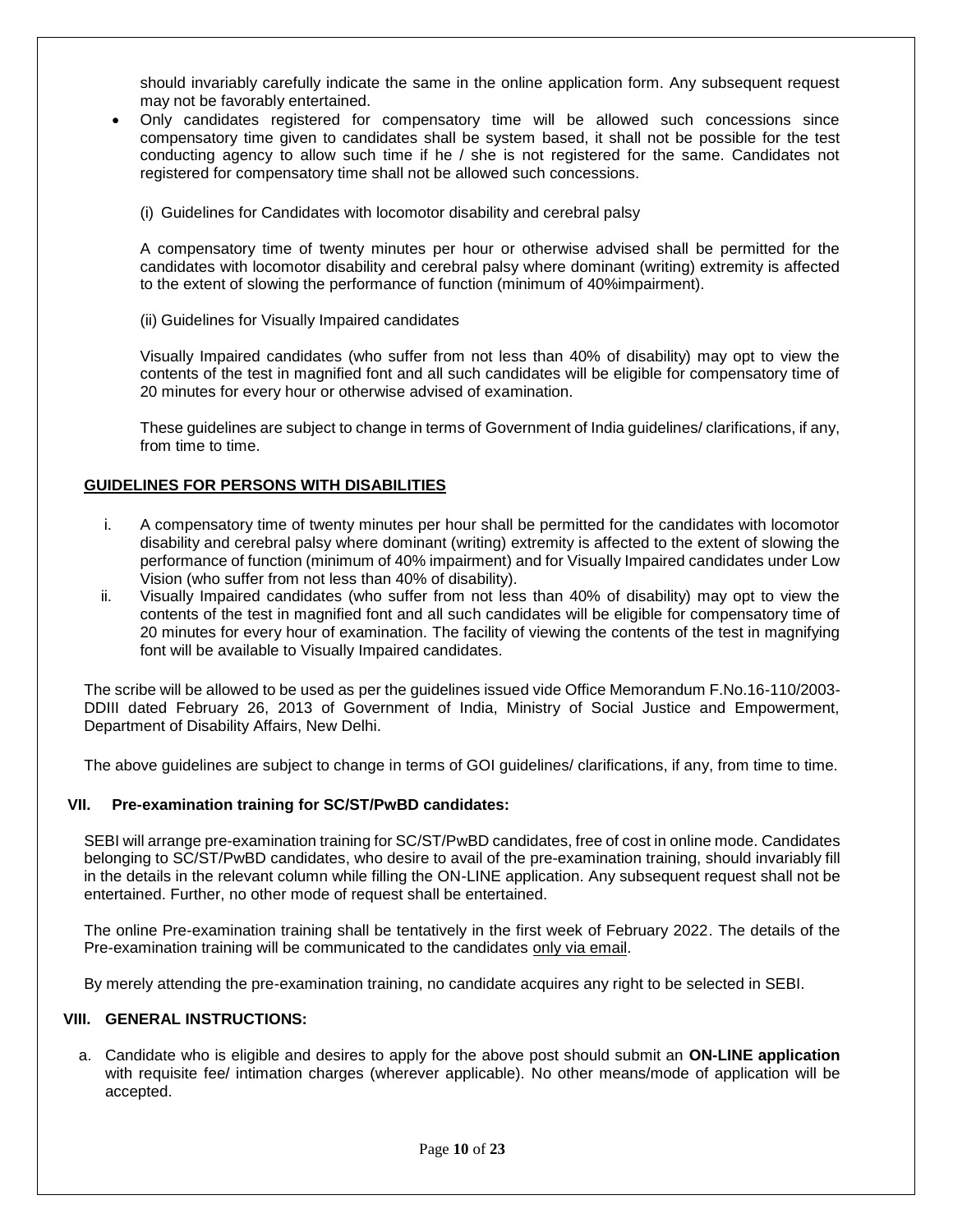should invariably carefully indicate the same in the online application form. Any subsequent request may not be favorably entertained.

- Only candidates registered for compensatory time will be allowed such concessions since compensatory time given to candidates shall be system based, it shall not be possible for the test conducting agency to allow such time if he / she is not registered for the same. Candidates not registered for compensatory time shall not be allowed such concessions.
	- (i) Guidelines for Candidates with locomotor disability and cerebral palsy

A compensatory time of twenty minutes per hour or otherwise advised shall be permitted for the candidates with locomotor disability and cerebral palsy where dominant (writing) extremity is affected to the extent of slowing the performance of function (minimum of 40%impairment).

(ii) Guidelines for Visually Impaired candidates

Visually Impaired candidates (who suffer from not less than 40% of disability) may opt to view the contents of the test in magnified font and all such candidates will be eligible for compensatory time of 20 minutes for every hour or otherwise advised of examination.

These guidelines are subject to change in terms of Government of India guidelines/ clarifications, if any, from time to time.

## **GUIDELINES FOR PERSONS WITH DISABILITIES**

- i. A compensatory time of twenty minutes per hour shall be permitted for the candidates with locomotor disability and cerebral palsy where dominant (writing) extremity is affected to the extent of slowing the performance of function (minimum of 40% impairment) and for Visually Impaired candidates under Low Vision (who suffer from not less than 40% of disability).
- ii. Visually Impaired candidates (who suffer from not less than 40% of disability) may opt to view the contents of the test in magnified font and all such candidates will be eligible for compensatory time of 20 minutes for every hour of examination. The facility of viewing the contents of the test in magnifying font will be available to Visually Impaired candidates.

The scribe will be allowed to be used as per the guidelines issued vide Office Memorandum F.No.16-110/2003- DDIII dated February 26, 2013 of Government of India, Ministry of Social Justice and Empowerment, Department of Disability Affairs, New Delhi.

The above guidelines are subject to change in terms of GOI guidelines/ clarifications, if any, from time to time.

#### **VII. Pre-examination training for SC/ST/PwBD candidates:**

SEBI will arrange pre-examination training for SC/ST/PwBD candidates, free of cost in online mode. Candidates belonging to SC/ST/PwBD candidates, who desire to avail of the pre-examination training, should invariably fill in the details in the relevant column while filling the ON-LINE application. Any subsequent request shall not be entertained. Further, no other mode of request shall be entertained.

The online Pre-examination training shall be tentatively in the first week of February 2022. The details of the Pre-examination training will be communicated to the candidates only via email.

By merely attending the pre-examination training, no candidate acquires any right to be selected in SEBI.

## **VIII. GENERAL INSTRUCTIONS:**

a. Candidate who is eligible and desires to apply for the above post should submit an **ON-LINE application** with requisite fee/ intimation charges (wherever applicable). No other means/mode of application will be accepted.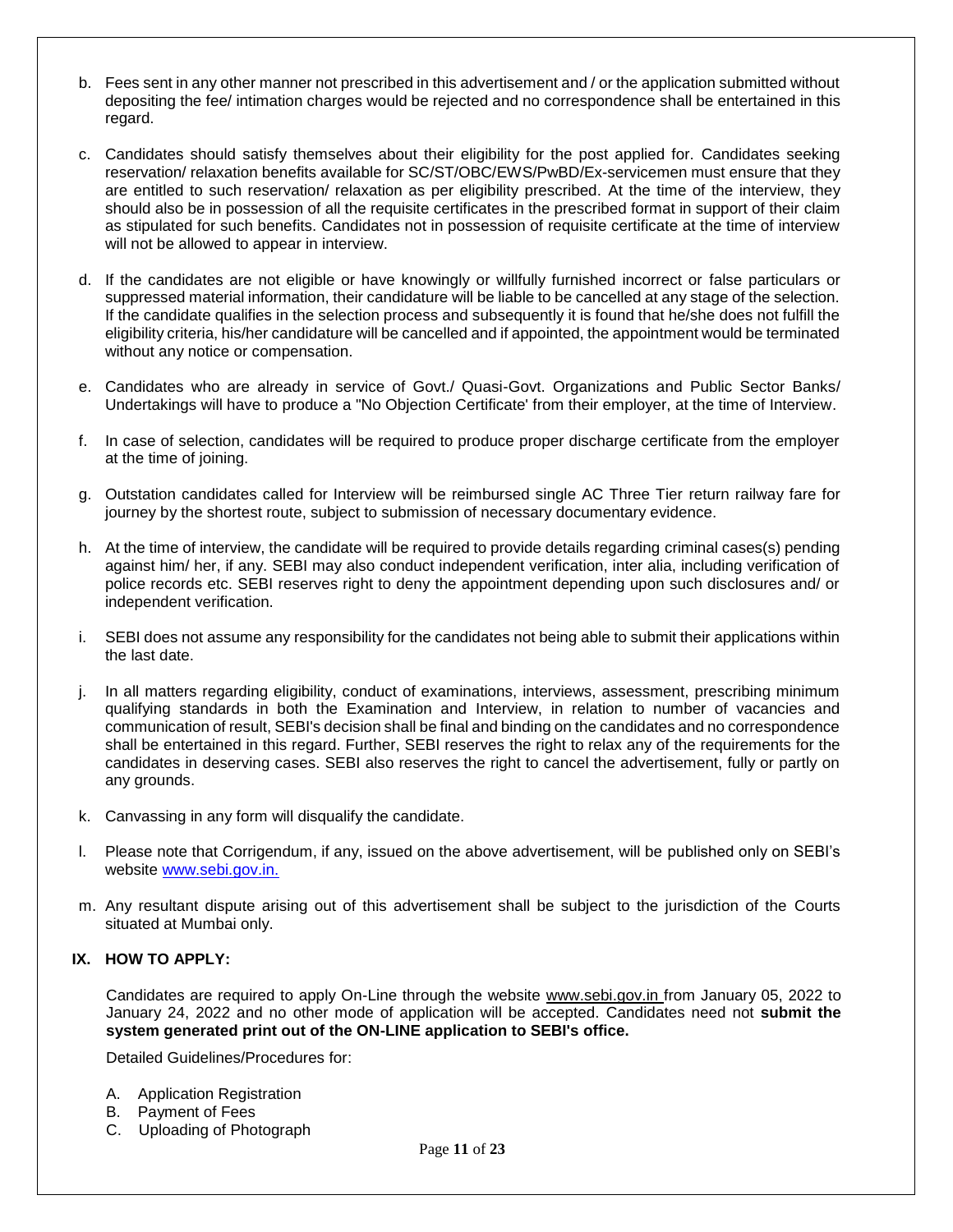- b. Fees sent in any other manner not prescribed in this advertisement and / or the application submitted without depositing the fee/ intimation charges would be rejected and no correspondence shall be entertained in this regard.
- c. Candidates should satisfy themselves about their eligibility for the post applied for. Candidates seeking reservation/ relaxation benefits available for SC/ST/OBC/EWS/PwBD/Ex-servicemen must ensure that they are entitled to such reservation/ relaxation as per eligibility prescribed. At the time of the interview, they should also be in possession of all the requisite certificates in the prescribed format in support of their claim as stipulated for such benefits. Candidates not in possession of requisite certificate at the time of interview will not be allowed to appear in interview.
- d. If the candidates are not eligible or have knowingly or willfully furnished incorrect or false particulars or suppressed material information, their candidature will be liable to be cancelled at any stage of the selection. If the candidate qualifies in the selection process and subsequently it is found that he/she does not fulfill the eligibility criteria, his/her candidature will be cancelled and if appointed, the appointment would be terminated without any notice or compensation.
- e. Candidates who are already in service of Govt./ Quasi-Govt. Organizations and Public Sector Banks/ Undertakings will have to produce a "No Objection Certificate' from their employer, at the time of Interview.
- f. In case of selection, candidates will be required to produce proper discharge certificate from the employer at the time of joining.
- g. Outstation candidates called for Interview will be reimbursed single AC Three Tier return railway fare for journey by the shortest route, subject to submission of necessary documentary evidence.
- h. At the time of interview, the candidate will be required to provide details regarding criminal cases(s) pending against him/ her, if any. SEBI may also conduct independent verification, inter alia, including verification of police records etc. SEBI reserves right to deny the appointment depending upon such disclosures and/ or independent verification.
- i. SEBI does not assume any responsibility for the candidates not being able to submit their applications within the last date.
- j. In all matters regarding eligibility, conduct of examinations, interviews, assessment, prescribing minimum qualifying standards in both the Examination and Interview, in relation to number of vacancies and communication of result, SEBI's decision shall be final and binding on the candidates and no correspondence shall be entertained in this regard. Further, SEBI reserves the right to relax any of the requirements for the candidates in deserving cases. SEBI also reserves the right to cancel the advertisement, fully or partly on any grounds.
- k. Canvassing in any form will disqualify the candidate.
- l. Please note that Corrigendum, if any, issued on the above advertisement, will be published only on SEBI's website [www.sebi.gov.in.](http://www.sebi.gov.in./)
- m. Any resultant dispute arising out of this advertisement shall be subject to the jurisdiction of the Courts situated at Mumbai only.

## **IX. HOW TO APPLY:**

Candidates are required to apply On-Line through the website [www.sebi.gov.in](http://www.sebi.gov.in/) from January 05, 2022 to January 24, 2022 and no other mode of application will be accepted. Candidates need not **submit the system generated print out of the ON-LINE application to SEBI's office.**

Detailed Guidelines/Procedures for:

- A. Application Registration
- B. Payment of Fees
- C. Uploading of Photograph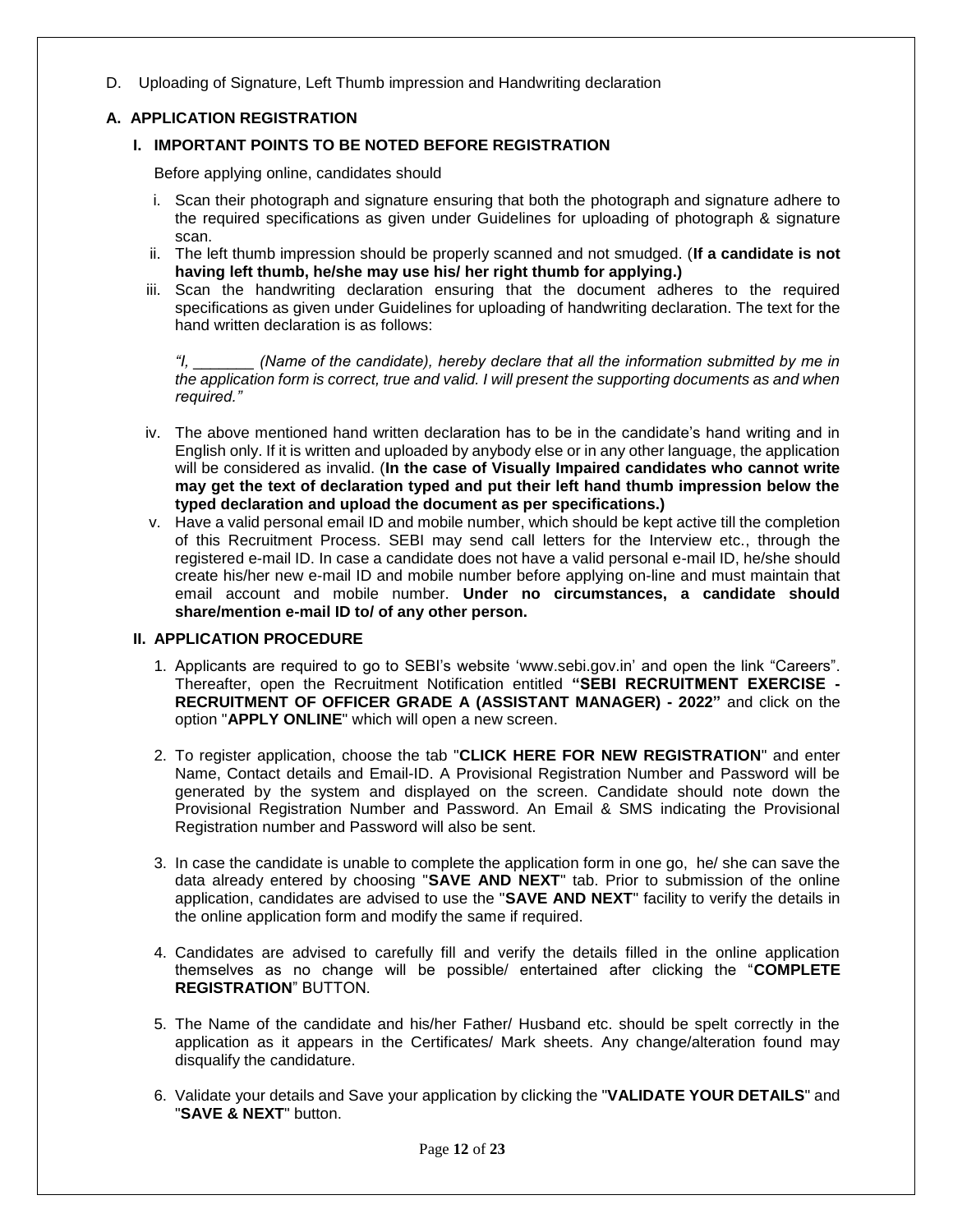D. Uploading of Signature, Left Thumb impression and Handwriting declaration

# **A. APPLICATION REGISTRATION**

# **I. IMPORTANT POINTS TO BE NOTED BEFORE REGISTRATION**

Before applying online, candidates should

- i. Scan their photograph and signature ensuring that both the photograph and signature adhere to the required specifications as given under Guidelines for uploading of photograph & signature scan.
- ii. The left thumb impression should be properly scanned and not smudged. (**If a candidate is not having left thumb, he/she may use his/ her right thumb for applying.)**
- iii. Scan the handwriting declaration ensuring that the document adheres to the required specifications as given under Guidelines for uploading of handwriting declaration. The text for the hand written declaration is as follows:

*"I, \_\_\_\_\_\_\_ (Name of the candidate), hereby declare that all the information submitted by me in the application form is correct, true and valid. I will present the supporting documents as and when required."*

- iv. The above mentioned hand written declaration has to be in the candidate's hand writing and in English only. If it is written and uploaded by anybody else or in any other language, the application will be considered as invalid. (**In the case of Visually Impaired candidates who cannot write may get the text of declaration typed and put their left hand thumb impression below the typed declaration and upload the document as per specifications.)**
- v. Have a valid personal email ID and mobile number, which should be kept active till the completion of this Recruitment Process. SEBI may send call letters for the Interview etc., through the registered e-mail ID. In case a candidate does not have a valid personal e-mail ID, he/she should create his/her new e-mail ID and mobile number before applying on-line and must maintain that email account and mobile number. **Under no circumstances, a candidate should share/mention e-mail ID to/ of any other person.**

## **II. APPLICATION PROCEDURE**

- 1. Applicants are required to go to SEBI's website ['www.sebi.gov.in'](http://www.sebi.com/) and open the link "Careers". Thereafter, open the Recruitment Notification entitled **"SEBI RECRUITMENT EXERCISE - RECRUITMENT OF OFFICER GRADE A (ASSISTANT MANAGER) - 2022"** and click on the option "**APPLY ONLINE**" which will open a new screen.
- 2. To register application, choose the tab "**CLICK HERE FOR NEW REGISTRATION**" and enter Name, Contact details and Email-ID. A Provisional Registration Number and Password will be generated by the system and displayed on the screen. Candidate should note down the Provisional Registration Number and Password. An Email & SMS indicating the Provisional Registration number and Password will also be sent.
- 3. In case the candidate is unable to complete the application form in one go, he/ she can save the data already entered by choosing "**SAVE AND NEXT**" tab. Prior to submission of the online application, candidates are advised to use the "**SAVE AND NEXT**" facility to verify the details in the online application form and modify the same if required.
- 4. Candidates are advised to carefully fill and verify the details filled in the online application themselves as no change will be possible/ entertained after clicking the "**COMPLETE REGISTRATION**" BUTTON.
- 5. The Name of the candidate and his/her Father/ Husband etc. should be spelt correctly in the application as it appears in the Certificates/ Mark sheets. Any change/alteration found may disqualify the candidature.
- 6. Validate your details and Save your application by clicking the "**VALIDATE YOUR DETAILS**" and "**SAVE & NEXT**" button.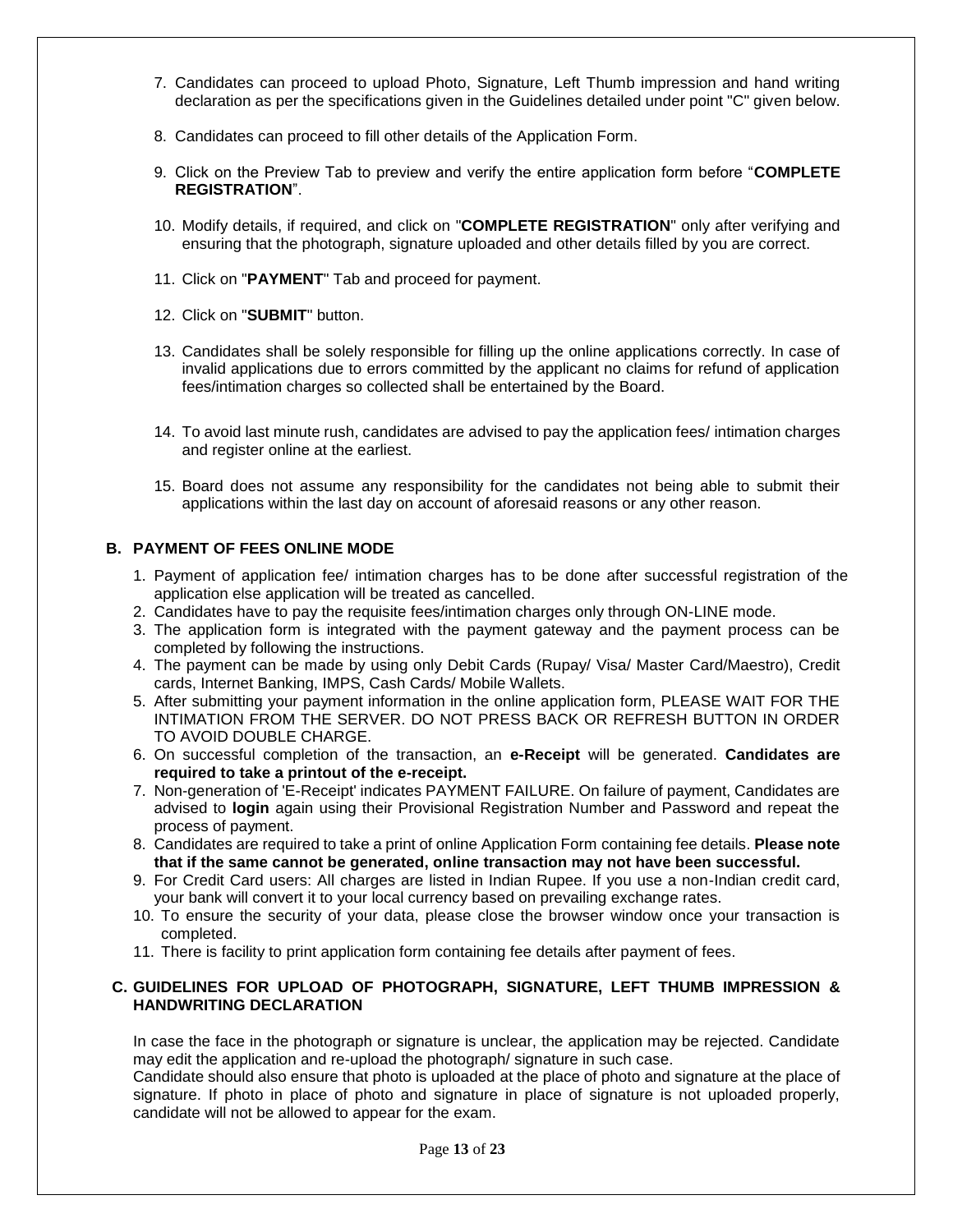- 7. Candidates can proceed to upload Photo, Signature, Left Thumb impression and hand writing declaration as per the specifications given in the Guidelines detailed under point "C" given below.
- 8. Candidates can proceed to fill other details of the Application Form.
- 9. Click on the Preview Tab to preview and verify the entire application form before "**COMPLETE REGISTRATION**".
- 10. Modify details, if required, and click on "**COMPLETE REGISTRATION**" only after verifying and ensuring that the photograph, signature uploaded and other details filled by you are correct.
- 11. Click on "**PAYMENT**" Tab and proceed for payment.
- 12. Click on "**SUBMIT**" button.
- 13. Candidates shall be solely responsible for filling up the online applications correctly. In case of invalid applications due to errors committed by the applicant no claims for refund of application fees/intimation charges so collected shall be entertained by the Board.
- 14. To avoid last minute rush, candidates are advised to pay the application fees/ intimation charges and register online at the earliest.
- 15. Board does not assume any responsibility for the candidates not being able to submit their applications within the last day on account of aforesaid reasons or any other reason.

## **B. PAYMENT OF FEES ONLINE MODE**

- 1. Payment of application fee/ intimation charges has to be done after successful registration of the application else application will be treated as cancelled.
- 2. Candidates have to pay the requisite fees/intimation charges only through ON-LINE mode.
- 3. The application form is integrated with the payment gateway and the payment process can be completed by following the instructions.
- 4. The payment can be made by using only Debit Cards (Rupay/ Visa/ Master Card/Maestro), Credit cards, Internet Banking, IMPS, Cash Cards/ Mobile Wallets.
- 5. After submitting your payment information in the online application form, PLEASE WAIT FOR THE INTIMATION FROM THE SERVER. DO NOT PRESS BACK OR REFRESH BUTTON IN ORDER TO AVOID DOUBLE CHARGE.
- 6. On successful completion of the transaction, an **e-Receipt** will be generated. **Candidates are required to take a printout of the e-receipt.**
- 7. Non-generation of 'E-Receipt' indicates PAYMENT FAILURE. On failure of payment, Candidates are advised to **login** again using their Provisional Registration Number and Password and repeat the process of payment.
- 8. Candidates are required to take a print of online Application Form containing fee details. **Please note that if the same cannot be generated, online transaction may not have been successful.**
- 9. For Credit Card users: All charges are listed in Indian Rupee. If you use a non-Indian credit card, your bank will convert it to your local currency based on prevailing exchange rates.
- 10. To ensure the security of your data, please close the browser window once your transaction is completed.
- 11. There is facility to print application form containing fee details after payment of fees.

### **C. GUIDELINES FOR UPLOAD OF PHOTOGRAPH, SIGNATURE, LEFT THUMB IMPRESSION & HANDWRITING DECLARATION**

In case the face in the photograph or signature is unclear, the application may be rejected. Candidate may edit the application and re-upload the photograph/ signature in such case.

Candidate should also ensure that photo is uploaded at the place of photo and signature at the place of signature. If photo in place of photo and signature in place of signature is not uploaded properly, candidate will not be allowed to appear for the exam.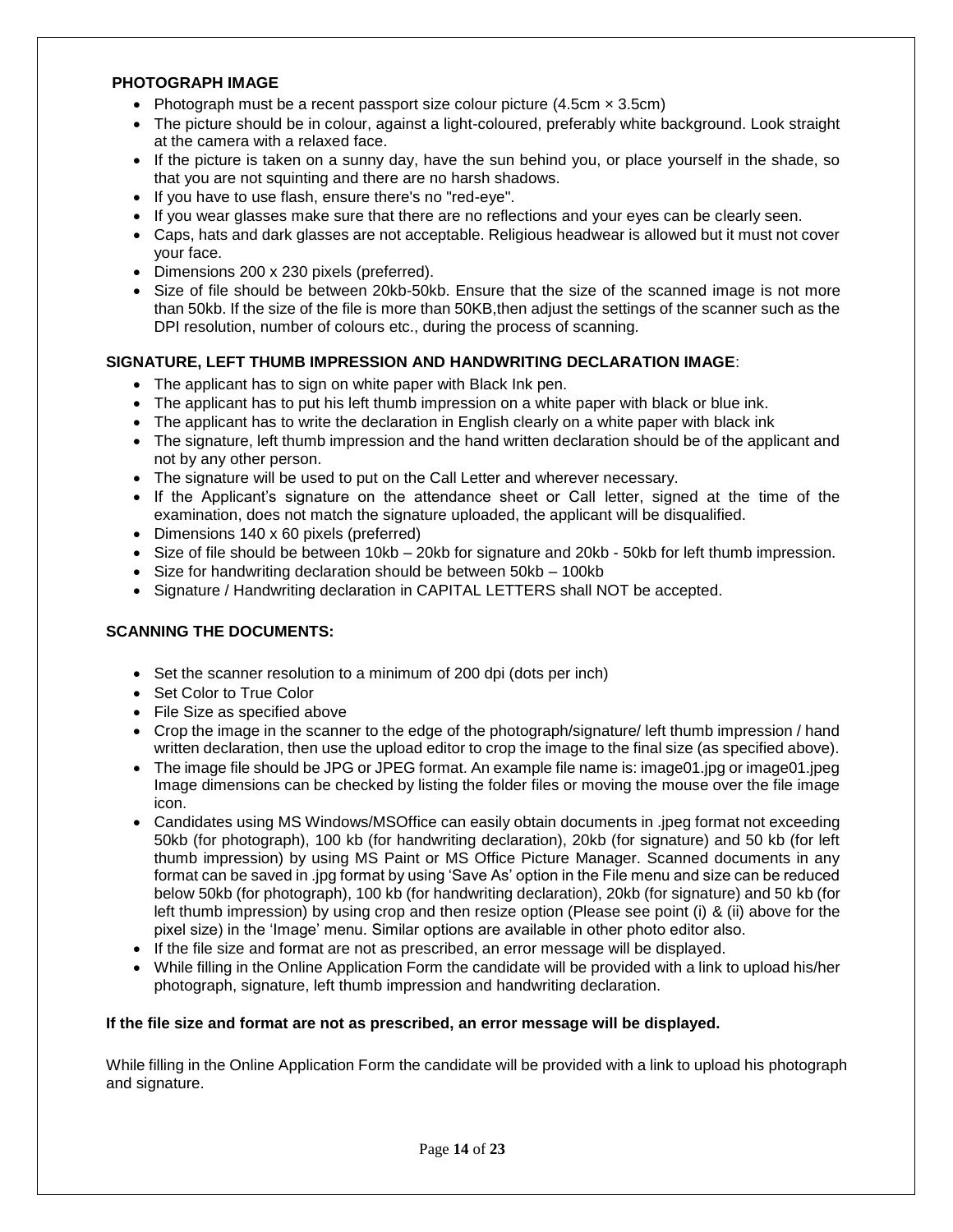## **PHOTOGRAPH IMAGE**

- Photograph must be a recent passport size colour picture  $(4.5cm \times 3.5cm)$
- The picture should be in colour, against a light-coloured, preferably white background. Look straight at the camera with a relaxed face.
- If the picture is taken on a sunny day, have the sun behind you, or place yourself in the shade, so that you are not squinting and there are no harsh shadows.
- If you have to use flash, ensure there's no "red-eye".
- If you wear glasses make sure that there are no reflections and your eyes can be clearly seen.
- Caps, hats and dark glasses are not acceptable. Religious headwear is allowed but it must not cover your face.
- Dimensions 200 x 230 pixels (preferred).
- Size of file should be between 20kb-50kb. Ensure that the size of the scanned image is not more than 50kb. If the size of the file is more than 50KB,then adjust the settings of the scanner such as the DPI resolution, number of colours etc., during the process of scanning.

# **SIGNATURE, LEFT THUMB IMPRESSION AND HANDWRITING DECLARATION IMAGE**:

- The applicant has to sign on white paper with Black Ink pen.
- The applicant has to put his left thumb impression on a white paper with black or blue ink.
- The applicant has to write the declaration in English clearly on a white paper with black ink
- The signature, left thumb impression and the hand written declaration should be of the applicant and not by any other person.
- The signature will be used to put on the Call Letter and wherever necessary.
- If the Applicant's signature on the attendance sheet or Call letter, signed at the time of the examination, does not match the signature uploaded, the applicant will be disqualified.
- Dimensions 140 x 60 pixels (preferred)
- Size of file should be between 10kb 20kb for signature and 20kb 50kb for left thumb impression.
- Size for handwriting declaration should be between 50kb 100kb
- Signature / Handwriting declaration in CAPITAL LETTERS shall NOT be accepted.

## **SCANNING THE DOCUMENTS:**

- Set the scanner resolution to a minimum of 200 dpi (dots per inch)
- Set Color to True Color
- File Size as specified above
- Crop the image in the scanner to the edge of the photograph/signature/ left thumb impression / hand written declaration, then use the upload editor to crop the image to the final size (as specified above).
- The image file should be JPG or JPEG format. An example file name is: image01.jpg or image01.jpeg Image dimensions can be checked by listing the folder files or moving the mouse over the file image icon.
- Candidates using MS Windows/MSOffice can easily obtain documents in .jpeg format not exceeding 50kb (for photograph), 100 kb (for handwriting declaration), 20kb (for signature) and 50 kb (for left thumb impression) by using MS Paint or MS Office Picture Manager. Scanned documents in any format can be saved in .jpg format by using 'Save As' option in the File menu and size can be reduced below 50kb (for photograph), 100 kb (for handwriting declaration), 20kb (for signature) and 50 kb (for left thumb impression) by using crop and then resize option (Please see point (i) & (ii) above for the pixel size) in the 'Image' menu. Similar options are available in other photo editor also.
- If the file size and format are not as prescribed, an error message will be displayed.
- While filling in the Online Application Form the candidate will be provided with a link to upload his/her photograph, signature, left thumb impression and handwriting declaration.

## **If the file size and format are not as prescribed, an error message will be displayed.**

While filling in the Online Application Form the candidate will be provided with a link to upload his photograph and signature.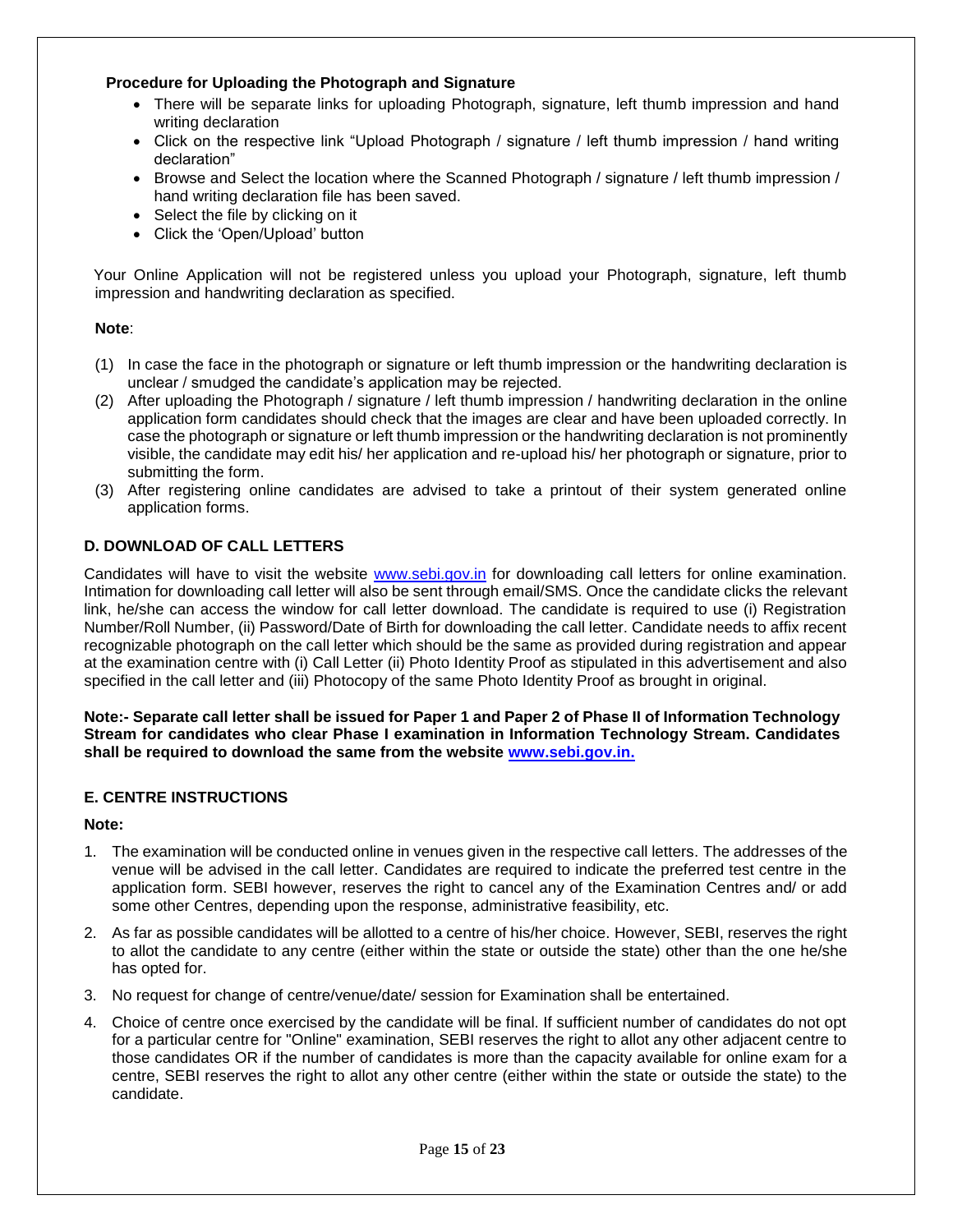# **Procedure for Uploading the Photograph and Signature**

- There will be separate links for uploading Photograph, signature, left thumb impression and hand writing declaration
- Click on the respective link "Upload Photograph / signature / left thumb impression / hand writing declaration"
- Browse and Select the location where the Scanned Photograph / signature / left thumb impression / hand writing declaration file has been saved.
- Select the file by clicking on it
- Click the 'Open/Upload' button

Your Online Application will not be registered unless you upload your Photograph, signature, left thumb impression and handwriting declaration as specified.

## **Note**:

- (1) In case the face in the photograph or signature or left thumb impression or the handwriting declaration is unclear / smudged the candidate's application may be rejected.
- (2) After uploading the Photograph / signature / left thumb impression / handwriting declaration in the online application form candidates should check that the images are clear and have been uploaded correctly. In case the photograph or signature or left thumb impression or the handwriting declaration is not prominently visible, the candidate may edit his/ her application and re-upload his/ her photograph or signature, prior to submitting the form.
- (3) After registering online candidates are advised to take a printout of their system generated online application forms.

## **D. DOWNLOAD OF CALL LETTERS**

Candidates will have to visit the website [www.sebi.gov.in](http://www.sebi.gov.in/) for downloading call letters for online examination. Intimation for downloading call letter will also be sent through email/SMS. Once the candidate clicks the relevant link, he/she can access the window for call letter download. The candidate is required to use (i) Registration Number/Roll Number, (ii) Password/Date of Birth for downloading the call letter. Candidate needs to affix recent recognizable photograph on the call letter which should be the same as provided during registration and appear at the examination centre with (i) Call Letter (ii) Photo Identity Proof as stipulated in this advertisement and also specified in the call letter and (iii) Photocopy of the same Photo Identity Proof as brought in original.

**Note:- Separate call letter shall be issued for Paper 1 and Paper 2 of Phase II of Information Technology Stream for candidates who clear Phase I examination in Information Technology Stream. Candidates shall be required to download the same from the website [www.sebi.gov.in.](http://www.sebi.gov.in/)**

## **E. CENTRE INSTRUCTIONS**

#### **Note:**

- 1. The examination will be conducted online in venues given in the respective call letters. The addresses of the venue will be advised in the call letter. Candidates are required to indicate the preferred test centre in the application form. SEBI however, reserves the right to cancel any of the Examination Centres and/ or add some other Centres, depending upon the response, administrative feasibility, etc.
- 2. As far as possible candidates will be allotted to a centre of his/her choice. However, SEBI, reserves the right to allot the candidate to any centre (either within the state or outside the state) other than the one he/she has opted for.
- 3. No request for change of centre/venue/date/ session for Examination shall be entertained.
- 4. Choice of centre once exercised by the candidate will be final. If sufficient number of candidates do not opt for a particular centre for "Online" examination, SEBI reserves the right to allot any other adjacent centre to those candidates OR if the number of candidates is more than the capacity available for online exam for a centre, SEBI reserves the right to allot any other centre (either within the state or outside the state) to the candidate.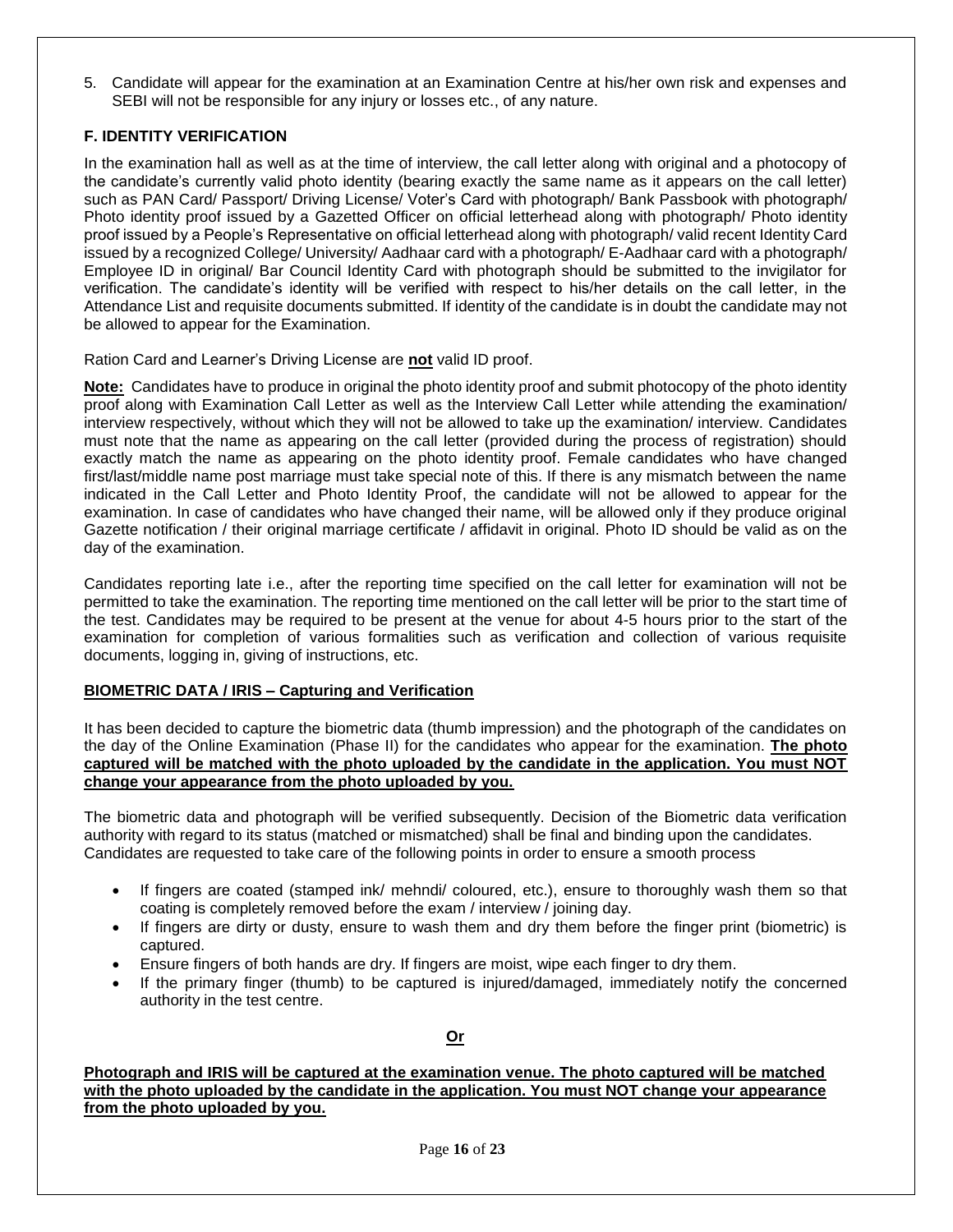5. Candidate will appear for the examination at an Examination Centre at his/her own risk and expenses and SEBI will not be responsible for any injury or losses etc., of any nature.

# **F. IDENTITY VERIFICATION**

In the examination hall as well as at the time of interview, the call letter along with original and a photocopy of the candidate's currently valid photo identity (bearing exactly the same name as it appears on the call letter) such as PAN Card/ Passport/ Driving License/ Voter's Card with photograph/ Bank Passbook with photograph/ Photo identity proof issued by a Gazetted Officer on official letterhead along with photograph/ Photo identity proof issued by a People's Representative on official letterhead along with photograph/ valid recent Identity Card issued by a recognized College/ University/ Aadhaar card with a photograph/ E-Aadhaar card with a photograph/ Employee ID in original/ Bar Council Identity Card with photograph should be submitted to the invigilator for verification. The candidate's identity will be verified with respect to his/her details on the call letter, in the Attendance List and requisite documents submitted. If identity of the candidate is in doubt the candidate may not be allowed to appear for the Examination.

Ration Card and Learner's Driving License are **not** valid ID proof.

**Note:** Candidates have to produce in original the photo identity proof and submit photocopy of the photo identity proof along with Examination Call Letter as well as the Interview Call Letter while attending the examination/ interview respectively, without which they will not be allowed to take up the examination/ interview. Candidates must note that the name as appearing on the call letter (provided during the process of registration) should exactly match the name as appearing on the photo identity proof. Female candidates who have changed first/last/middle name post marriage must take special note of this. If there is any mismatch between the name indicated in the Call Letter and Photo Identity Proof, the candidate will not be allowed to appear for the examination. In case of candidates who have changed their name, will be allowed only if they produce original Gazette notification / their original marriage certificate / affidavit in original. Photo ID should be valid as on the day of the examination.

Candidates reporting late i.e., after the reporting time specified on the call letter for examination will not be permitted to take the examination. The reporting time mentioned on the call letter will be prior to the start time of the test. Candidates may be required to be present at the venue for about 4-5 hours prior to the start of the examination for completion of various formalities such as verification and collection of various requisite documents, logging in, giving of instructions, etc.

## **BIOMETRIC DATA / IRIS – Capturing and Verification**

It has been decided to capture the biometric data (thumb impression) and the photograph of the candidates on the day of the Online Examination (Phase II) for the candidates who appear for the examination. **The photo captured will be matched with the photo uploaded by the candidate in the application. You must NOT change your appearance from the photo uploaded by you.**

The biometric data and photograph will be verified subsequently. Decision of the Biometric data verification authority with regard to its status (matched or mismatched) shall be final and binding upon the candidates. Candidates are requested to take care of the following points in order to ensure a smooth process

- If fingers are coated (stamped ink/ mehndi/ coloured, etc.), ensure to thoroughly wash them so that coating is completely removed before the exam / interview / joining day.
- If fingers are dirty or dusty, ensure to wash them and dry them before the finger print (biometric) is captured.
- Ensure fingers of both hands are dry. If fingers are moist, wipe each finger to dry them.
- If the primary finger (thumb) to be captured is injured/damaged, immediately notify the concerned authority in the test centre.

#### **Or**

**Photograph and IRIS will be captured at the examination venue. The photo captured will be matched with the photo uploaded by the candidate in the application. You must NOT change your appearance from the photo uploaded by you.**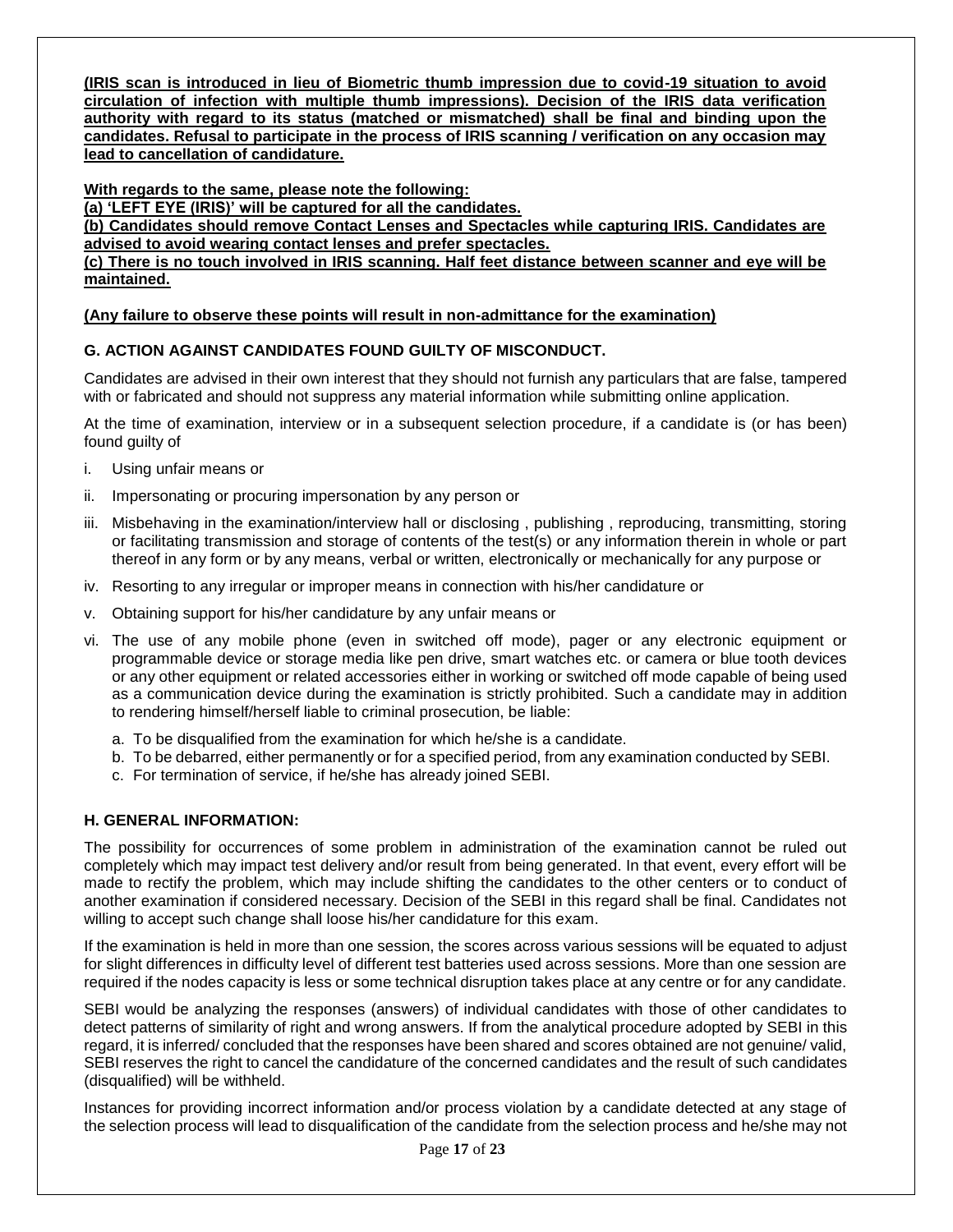**(IRIS scan is introduced in lieu of Biometric thumb impression due to covid-19 situation to avoid circulation of infection with multiple thumb impressions). Decision of the IRIS data verification authority with regard to its status (matched or mismatched) shall be final and binding upon the candidates. Refusal to participate in the process of IRIS scanning / verification on any occasion may lead to cancellation of candidature.** 

**With regards to the same, please note the following:**

**(a) 'LEFT EYE (IRIS)' will be captured for all the candidates.**

**(b) Candidates should remove Contact Lenses and Spectacles while capturing IRIS. Candidates are advised to avoid wearing contact lenses and prefer spectacles.**

**(c) There is no touch involved in IRIS scanning. Half feet distance between scanner and eye will be maintained.**

## **(Any failure to observe these points will result in non-admittance for the examination)**

## **G. ACTION AGAINST CANDIDATES FOUND GUILTY OF MISCONDUCT.**

Candidates are advised in their own interest that they should not furnish any particulars that are false, tampered with or fabricated and should not suppress any material information while submitting online application.

At the time of examination, interview or in a subsequent selection procedure, if a candidate is (or has been) found guilty of

- i. Using unfair means or
- ii. Impersonating or procuring impersonation by any person or
- iii. Misbehaving in the examination/interview hall or disclosing , publishing , reproducing, transmitting, storing or facilitating transmission and storage of contents of the test(s) or any information therein in whole or part thereof in any form or by any means, verbal or written, electronically or mechanically for any purpose or
- iv. Resorting to any irregular or improper means in connection with his/her candidature or
- v. Obtaining support for his/her candidature by any unfair means or
- vi. The use of any mobile phone (even in switched off mode), pager or any electronic equipment or programmable device or storage media like pen drive, smart watches etc. or camera or blue tooth devices or any other equipment or related accessories either in working or switched off mode capable of being used as a communication device during the examination is strictly prohibited. Such a candidate may in addition to rendering himself/herself liable to criminal prosecution, be liable:
	- a. To be disqualified from the examination for which he/she is a candidate.
	- b. To be debarred, either permanently or for a specified period, from any examination conducted by SEBI.
	- c. For termination of service, if he/she has already joined SEBI.

## **H. GENERAL INFORMATION:**

The possibility for occurrences of some problem in administration of the examination cannot be ruled out completely which may impact test delivery and/or result from being generated. In that event, every effort will be made to rectify the problem, which may include shifting the candidates to the other centers or to conduct of another examination if considered necessary. Decision of the SEBI in this regard shall be final. Candidates not willing to accept such change shall loose his/her candidature for this exam.

If the examination is held in more than one session, the scores across various sessions will be equated to adjust for slight differences in difficulty level of different test batteries used across sessions. More than one session are required if the nodes capacity is less or some technical disruption takes place at any centre or for any candidate.

SEBI would be analyzing the responses (answers) of individual candidates with those of other candidates to detect patterns of similarity of right and wrong answers. If from the analytical procedure adopted by SEBI in this regard, it is inferred/ concluded that the responses have been shared and scores obtained are not genuine/ valid, SEBI reserves the right to cancel the candidature of the concerned candidates and the result of such candidates (disqualified) will be withheld.

Instances for providing incorrect information and/or process violation by a candidate detected at any stage of the selection process will lead to disqualification of the candidate from the selection process and he/she may not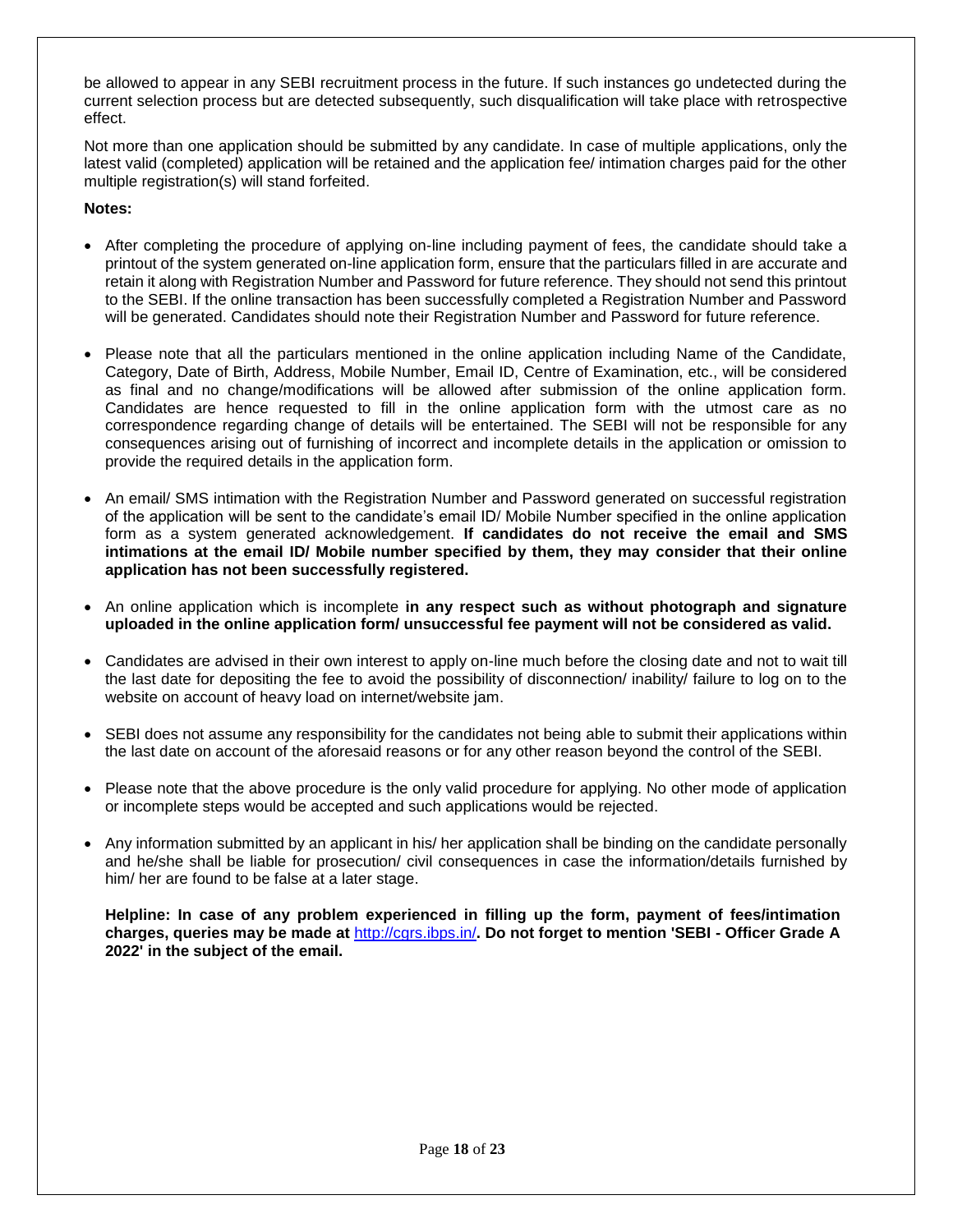be allowed to appear in any SEBI recruitment process in the future. If such instances go undetected during the current selection process but are detected subsequently, such disqualification will take place with retrospective effect.

Not more than one application should be submitted by any candidate. In case of multiple applications, only the latest valid (completed) application will be retained and the application fee/ intimation charges paid for the other multiple registration(s) will stand forfeited.

## **Notes:**

- After completing the procedure of applying on-line including payment of fees, the candidate should take a printout of the system generated on-line application form, ensure that the particulars filled in are accurate and retain it along with Registration Number and Password for future reference. They should not send this printout to the SEBI. If the online transaction has been successfully completed a Registration Number and Password will be generated. Candidates should note their Registration Number and Password for future reference.
- Please note that all the particulars mentioned in the online application including Name of the Candidate, Category, Date of Birth, Address, Mobile Number, Email ID, Centre of Examination, etc., will be considered as final and no change/modifications will be allowed after submission of the online application form. Candidates are hence requested to fill in the online application form with the utmost care as no correspondence regarding change of details will be entertained. The SEBI will not be responsible for any consequences arising out of furnishing of incorrect and incomplete details in the application or omission to provide the required details in the application form.
- An email/ SMS intimation with the Registration Number and Password generated on successful registration of the application will be sent to the candidate's email ID/ Mobile Number specified in the online application form as a system generated acknowledgement. **If candidates do not receive the email and SMS intimations at the email ID/ Mobile number specified by them, they may consider that their online application has not been successfully registered.**
- An online application which is incomplete **in any respect such as without photograph and signature uploaded in the online application form/ unsuccessful fee payment will not be considered as valid.**
- Candidates are advised in their own interest to apply on-line much before the closing date and not to wait till the last date for depositing the fee to avoid the possibility of disconnection/ inability/ failure to log on to the website on account of heavy load on internet/website jam.
- SEBI does not assume any responsibility for the candidates not being able to submit their applications within the last date on account of the aforesaid reasons or for any other reason beyond the control of the SEBI.
- Please note that the above procedure is the only valid procedure for applying. No other mode of application or incomplete steps would be accepted and such applications would be rejected.
- Any information submitted by an applicant in his/ her application shall be binding on the candidate personally and he/she shall be liable for prosecution/ civil consequences in case the information/details furnished by him/ her are found to be false at a later stage.

**Helpline: In case of any problem experienced in filling up the form, payment of fees/intimation charges, queries may be made at** <http://cgrs.ibps.in/>**. Do not forget to mention 'SEBI - Officer Grade A 2022' in the subject of the email.**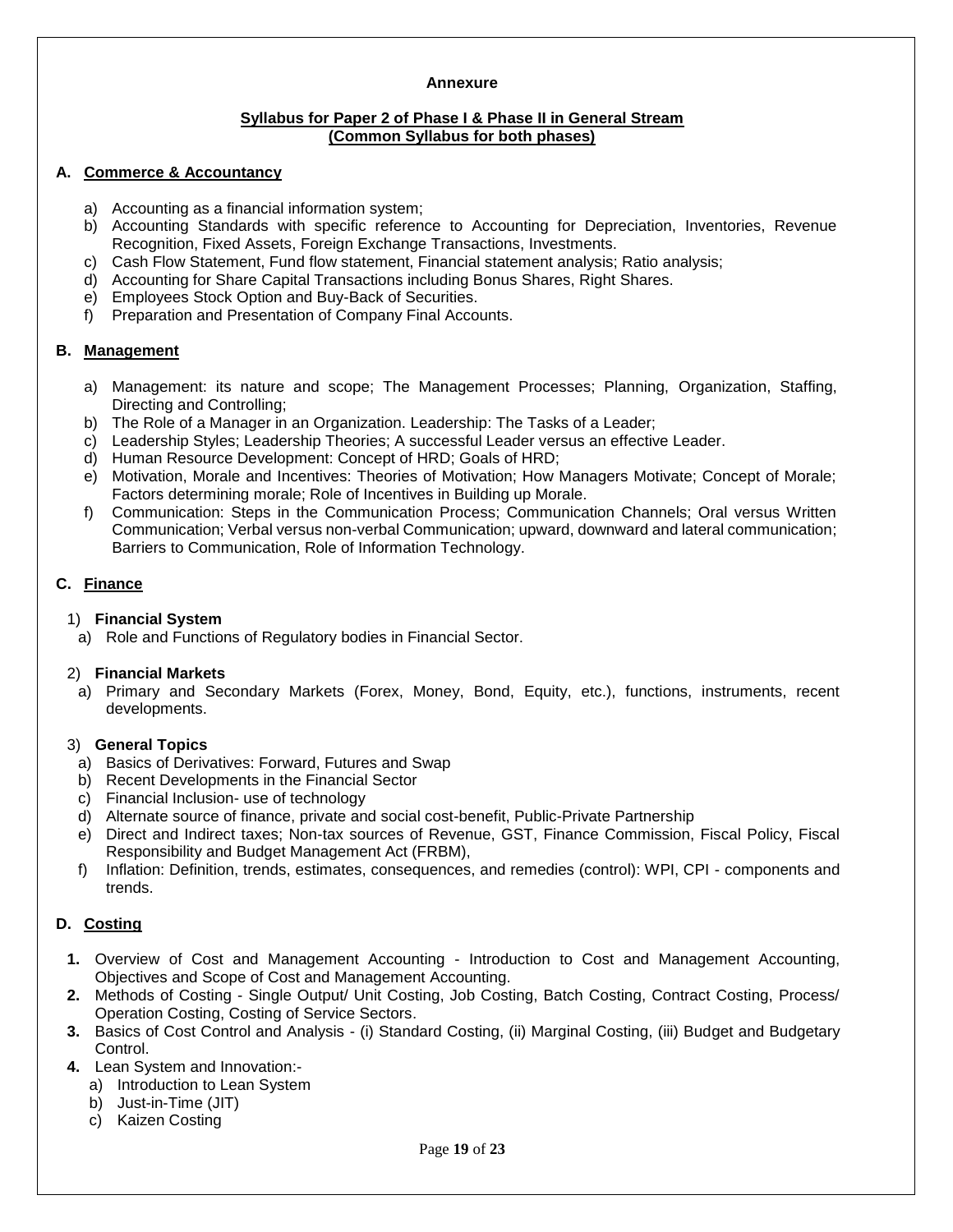#### **Annexure**

### **Syllabus for Paper 2 of Phase I & Phase II in General Stream (Common Syllabus for both phases)**

## **A. Commerce & Accountancy**

- a) Accounting as a financial information system;
- b) Accounting Standards with specific reference to Accounting for Depreciation, Inventories, Revenue Recognition, Fixed Assets, Foreign Exchange Transactions, Investments.
- c) Cash Flow Statement, Fund flow statement, Financial statement analysis; Ratio analysis;
- d) Accounting for Share Capital Transactions including Bonus Shares, Right Shares.
- e) Employees Stock Option and Buy-Back of Securities.
- f) Preparation and Presentation of Company Final Accounts.

# **B. Management**

- a) Management: its nature and scope; The Management Processes; Planning, Organization, Staffing, Directing and Controlling;
- b) The Role of a Manager in an Organization. Leadership: The Tasks of a Leader;
- c) Leadership Styles; Leadership Theories; A successful Leader versus an effective Leader.
- d) Human Resource Development: Concept of HRD; Goals of HRD;
- e) Motivation, Morale and Incentives: Theories of Motivation; How Managers Motivate; Concept of Morale; Factors determining morale; Role of Incentives in Building up Morale.
- f) Communication: Steps in the Communication Process; Communication Channels; Oral versus Written Communication; Verbal versus non-verbal Communication; upward, downward and lateral communication; Barriers to Communication, Role of Information Technology.

# **C. Finance**

## 1) **Financial System**

a) Role and Functions of Regulatory bodies in Financial Sector.

## 2) **Financial Markets**

a) Primary and Secondary Markets (Forex, Money, Bond, Equity, etc.), functions, instruments, recent developments.

## 3) **General Topics**

- a) Basics of Derivatives: Forward, Futures and Swap
- b) Recent Developments in the Financial Sector
- c) Financial Inclusion- use of technology
- d) Alternate source of finance, private and social cost-benefit, Public-Private Partnership
- e) Direct and Indirect taxes; Non-tax sources of Revenue, GST, Finance Commission, Fiscal Policy, Fiscal Responsibility and Budget Management Act (FRBM),
- f) Inflation: Definition, trends, estimates, consequences, and remedies (control): WPI, CPI components and trends.

# **D. Costing**

- **1.** Overview of Cost and Management Accounting Introduction to Cost and Management Accounting, Objectives and Scope of Cost and Management Accounting.
- **2.** Methods of Costing Single Output/ Unit Costing, Job Costing, Batch Costing, Contract Costing, Process/ Operation Costing, Costing of Service Sectors.
- **3.** Basics of Cost Control and Analysis (i) Standard Costing, (ii) Marginal Costing, (iii) Budget and Budgetary Control.
- **4.** Lean System and Innovation:
	- a) Introduction to Lean System
	- b) Just-in-Time (JIT)
	- c) Kaizen Costing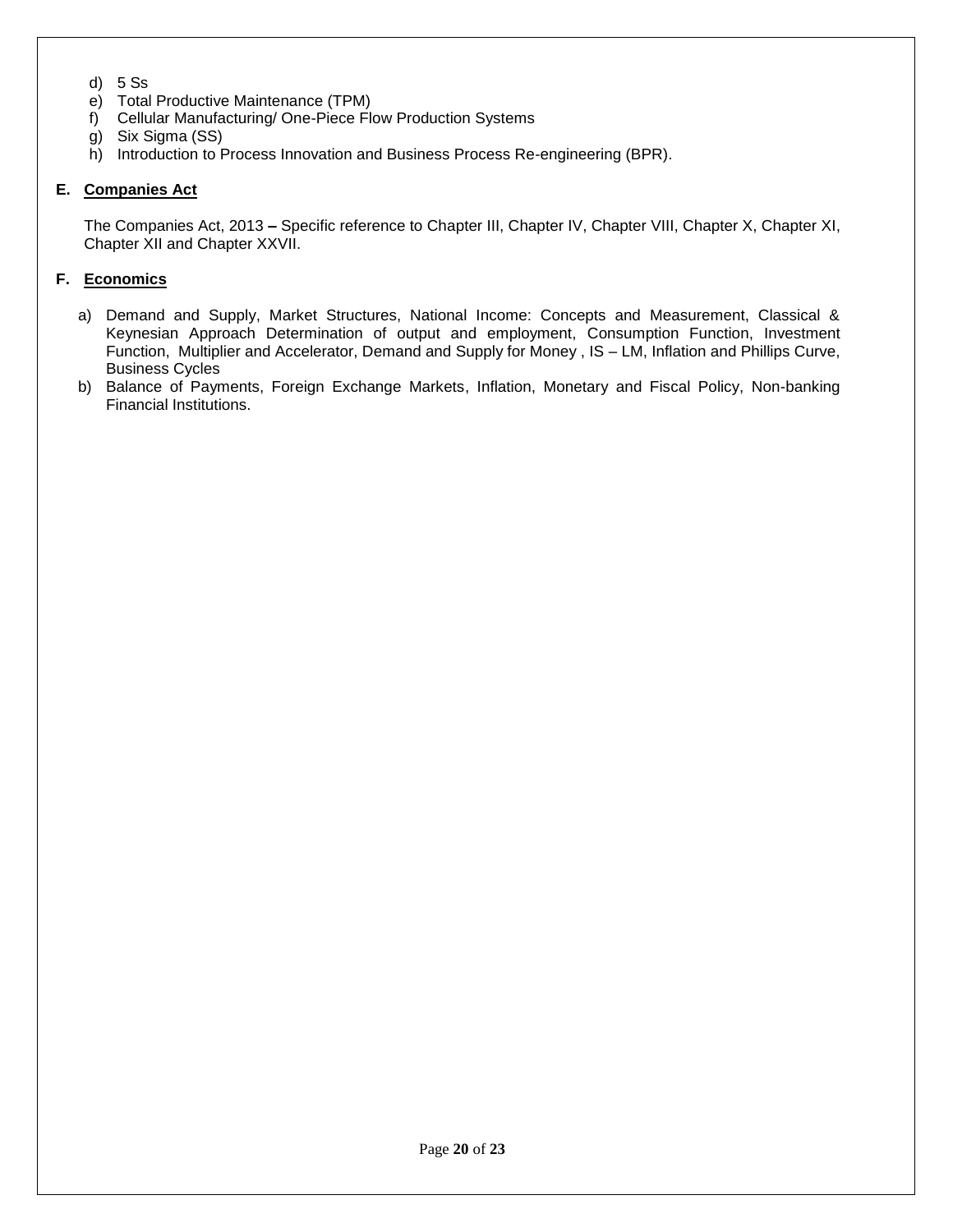- d) 5 Ss
- e) Total Productive Maintenance (TPM)
- f) Cellular Manufacturing/ One-Piece Flow Production Systems
- g) Six Sigma (SS)
- h) Introduction to Process Innovation and Business Process Re-engineering (BPR).

# **E. Companies Act**

The Companies Act, 2013 **–** Specific reference to Chapter III, Chapter IV, Chapter VIII, Chapter X, Chapter XI, Chapter XII and Chapter XXVII.

# **F. Economics**

- a) Demand and Supply, Market Structures, National Income: Concepts and Measurement, Classical & Keynesian Approach Determination of output and employment, Consumption Function, Investment Function, Multiplier and Accelerator, Demand and Supply for Money , IS – LM, Inflation and Phillips Curve, Business Cycles
- b) Balance of Payments, Foreign Exchange Markets, Inflation, Monetary and Fiscal Policy, Non-banking Financial Institutions.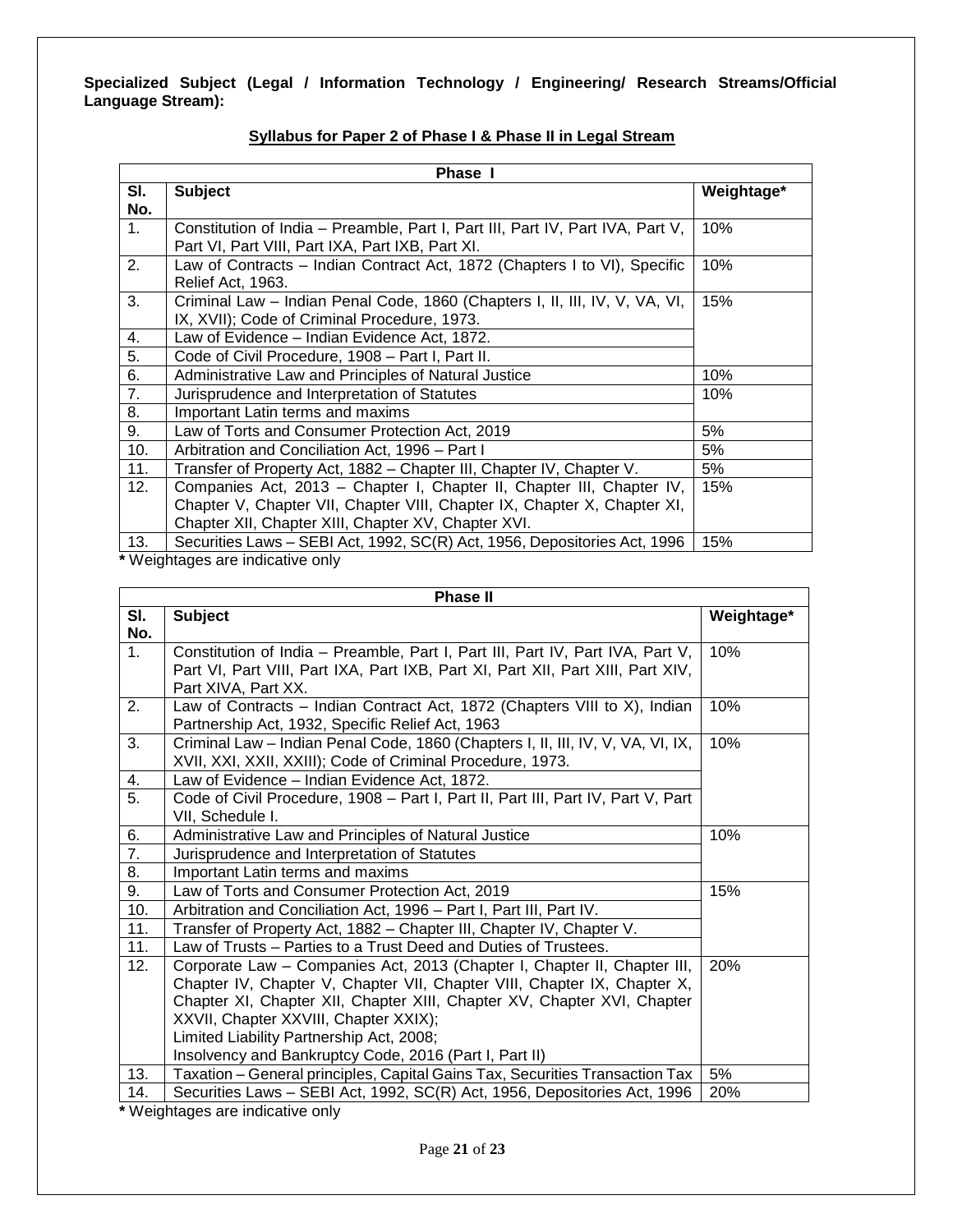**Specialized Subject (Legal / Information Technology / Engineering/ Research Streams/Official Language Stream):**

|            | <b>Phase</b> I                                                                                                                                                                                           |            |  |  |  |
|------------|----------------------------------------------------------------------------------------------------------------------------------------------------------------------------------------------------------|------------|--|--|--|
| SI.<br>No. | <b>Subject</b>                                                                                                                                                                                           | Weightage* |  |  |  |
| 1.         | Constitution of India – Preamble, Part I, Part III, Part IV, Part IVA, Part V,<br>Part VI, Part VIII, Part IXA, Part IXB, Part XI.                                                                       | 10%        |  |  |  |
| 2.         | Law of Contracts – Indian Contract Act, 1872 (Chapters I to VI), Specific<br>Relief Act, 1963.                                                                                                           | 10%        |  |  |  |
| 3.         | Criminal Law - Indian Penal Code, 1860 (Chapters I, II, III, IV, V, VA, VI,<br>IX, XVII); Code of Criminal Procedure, 1973.                                                                              | 15%        |  |  |  |
| 4.         | Law of Evidence - Indian Evidence Act, 1872.                                                                                                                                                             |            |  |  |  |
| 5.         | Code of Civil Procedure, 1908 – Part I, Part II.                                                                                                                                                         |            |  |  |  |
| 6.         | Administrative Law and Principles of Natural Justice                                                                                                                                                     | 10%        |  |  |  |
| 7.         | Jurisprudence and Interpretation of Statutes                                                                                                                                                             | 10%        |  |  |  |
| 8.         | Important Latin terms and maxims                                                                                                                                                                         |            |  |  |  |
| 9.         | Law of Torts and Consumer Protection Act, 2019                                                                                                                                                           | 5%         |  |  |  |
| 10.        | Arbitration and Conciliation Act, 1996 – Part I                                                                                                                                                          | 5%         |  |  |  |
| 11.        | Transfer of Property Act, 1882 - Chapter III, Chapter IV, Chapter V.                                                                                                                                     | 5%         |  |  |  |
| 12.        | Companies Act, 2013 - Chapter I, Chapter II, Chapter III, Chapter IV,<br>Chapter V, Chapter VII, Chapter VIII, Chapter IX, Chapter X, Chapter XI,<br>Chapter XII, Chapter XIII, Chapter XV, Chapter XVI. | 15%        |  |  |  |
| 13.        | Securities Laws - SEBI Act, 1992, SC(R) Act, 1956, Depositories Act, 1996                                                                                                                                | 15%        |  |  |  |

# **Syllabus for Paper 2 of Phase I & Phase II in Legal Stream**

**\*** Weightages are indicative only

|     | <b>Phase II</b>                                                                  |            |  |  |  |
|-----|----------------------------------------------------------------------------------|------------|--|--|--|
| SI. | <b>Subject</b>                                                                   | Weightage* |  |  |  |
| No. |                                                                                  |            |  |  |  |
| 1.  | Constitution of India – Preamble, Part I, Part III, Part IV, Part IVA, Part V,   | 10%        |  |  |  |
|     | Part VI, Part VIII, Part IXA, Part IXB, Part XI, Part XII, Part XIII, Part XIV,  |            |  |  |  |
|     | Part XIVA, Part XX.                                                              |            |  |  |  |
| 2.  | Law of Contracts - Indian Contract Act, 1872 (Chapters VIII to X), Indian        | 10%        |  |  |  |
|     | Partnership Act, 1932, Specific Relief Act, 1963                                 |            |  |  |  |
| 3.  | Criminal Law - Indian Penal Code, 1860 (Chapters I, II, III, IV, V, VA, VI, IX,  | 10%        |  |  |  |
|     | XVII, XXI, XXII, XXIII); Code of Criminal Procedure, 1973.                       |            |  |  |  |
| 4.  | Law of Evidence - Indian Evidence Act, 1872.                                     |            |  |  |  |
| 5.  | Code of Civil Procedure, 1908 - Part I, Part II, Part III, Part IV, Part V, Part |            |  |  |  |
|     | VII, Schedule I.                                                                 |            |  |  |  |
| 6.  | Administrative Law and Principles of Natural Justice                             | 10%        |  |  |  |
| 7.  | Jurisprudence and Interpretation of Statutes                                     |            |  |  |  |
| 8.  | Important Latin terms and maxims                                                 |            |  |  |  |
| 9.  | Law of Torts and Consumer Protection Act, 2019                                   | 15%        |  |  |  |
| 10. | Arbitration and Conciliation Act, 1996 - Part I, Part III, Part IV.              |            |  |  |  |
| 11. | Transfer of Property Act, 1882 – Chapter III, Chapter IV, Chapter V.             |            |  |  |  |
| 11. | Law of Trusts - Parties to a Trust Deed and Duties of Trustees.                  |            |  |  |  |
| 12. | Corporate Law - Companies Act, 2013 (Chapter I, Chapter II, Chapter III,         | 20%        |  |  |  |
|     | Chapter IV, Chapter V, Chapter VII, Chapter VIII, Chapter IX, Chapter X,         |            |  |  |  |
|     | Chapter XI, Chapter XII, Chapter XIII, Chapter XV, Chapter XVI, Chapter          |            |  |  |  |
|     | XXVII, Chapter XXVIII, Chapter XXIX);                                            |            |  |  |  |
|     | Limited Liability Partnership Act, 2008;                                         |            |  |  |  |
|     | Insolvency and Bankruptcy Code, 2016 (Part I, Part II)                           |            |  |  |  |
| 13. | Taxation - General principles, Capital Gains Tax, Securities Transaction Tax     | 5%         |  |  |  |
| 14. | Securities Laws - SEBI Act, 1992, SC(R) Act, 1956, Depositories Act, 1996        | 20%        |  |  |  |

**\*** Weightages are indicative only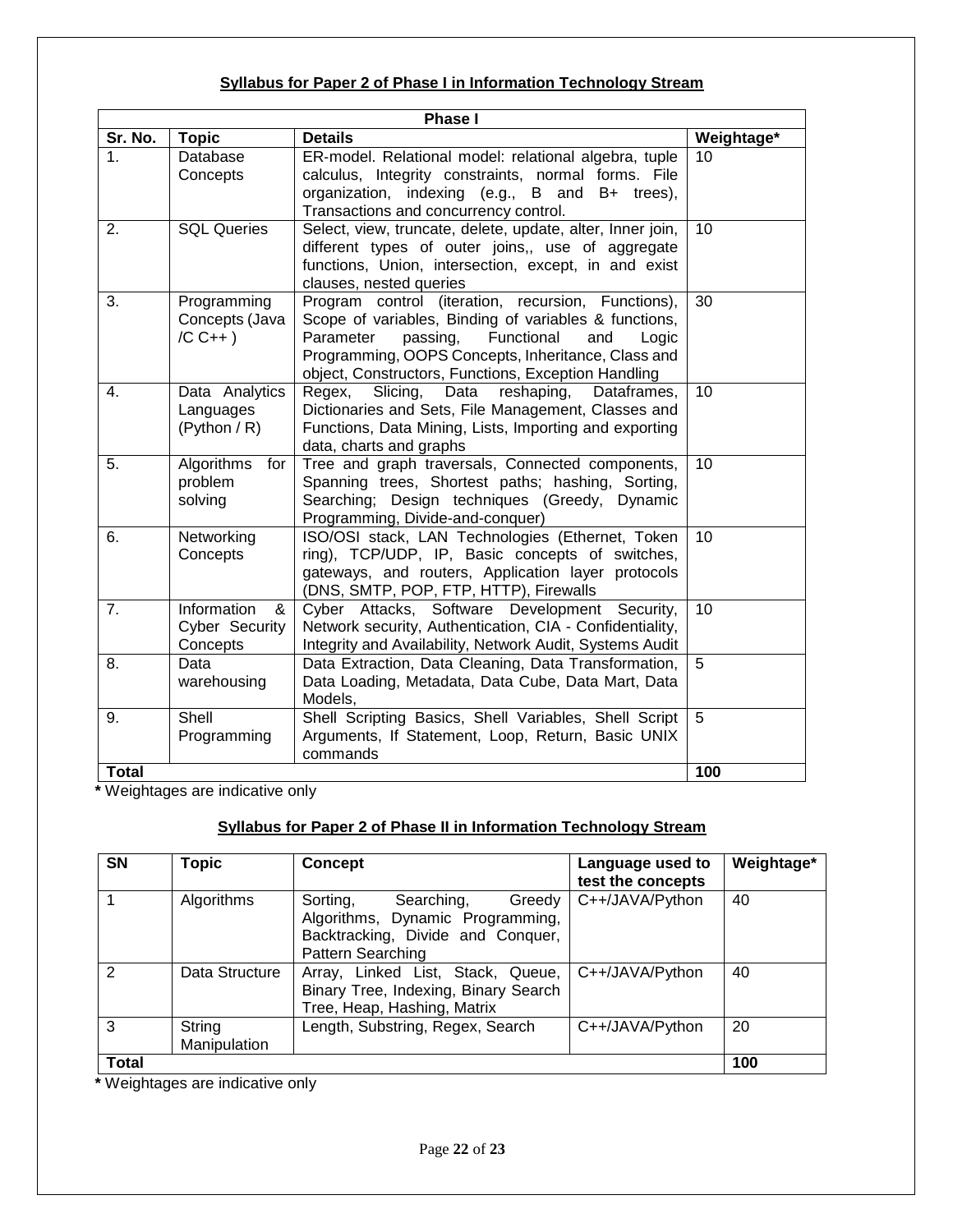# **Syllabus for Paper 2 of Phase I in Information Technology Stream**

| <b>Phase I</b> |                                                |                                                                                                                                                                                                                                                                                 |            |  |
|----------------|------------------------------------------------|---------------------------------------------------------------------------------------------------------------------------------------------------------------------------------------------------------------------------------------------------------------------------------|------------|--|
| Sr. No.        | <b>Topic</b>                                   | <b>Details</b>                                                                                                                                                                                                                                                                  | Weightage* |  |
| 1 <sub>1</sub> | Database<br>Concepts                           | ER-model. Relational model: relational algebra, tuple<br>calculus, Integrity constraints, normal forms. File<br>organization, indexing (e.g., B and B+ trees),<br>Transactions and concurrency control.                                                                         | 10         |  |
| 2.             | <b>SQL Queries</b>                             | Select, view, truncate, delete, update, alter, Inner join,<br>different types of outer joins,, use of aggregate<br>functions, Union, intersection, except, in and exist<br>clauses, nested queries                                                                              | 10         |  |
| 3.             | Programming<br>Concepts (Java<br>$/C C++$      | Program control (iteration, recursion, Functions),<br>Scope of variables, Binding of variables & functions,<br>passing,<br>Functional<br>Parameter<br>and<br>Logic<br>Programming, OOPS Concepts, Inheritance, Class and<br>object, Constructors, Functions, Exception Handling | 30         |  |
| 4.             | Data Analytics<br>Languages<br>(Python / R)    | Slicing, Data<br>reshaping,<br>Regex,<br>Dataframes,<br>Dictionaries and Sets, File Management, Classes and<br>Functions, Data Mining, Lists, Importing and exporting<br>data, charts and graphs                                                                                | 10         |  |
| 5.             | Algorithms<br>for<br>problem<br>solving        | Tree and graph traversals, Connected components,<br>Spanning trees, Shortest paths; hashing, Sorting,<br>Searching; Design techniques (Greedy, Dynamic<br>Programming, Divide-and-conquer)                                                                                      | 10         |  |
| 6.             | Networking<br>Concepts                         | ISO/OSI stack, LAN Technologies (Ethernet, Token<br>ring), TCP/UDP, IP, Basic concepts of switches,<br>gateways, and routers, Application layer protocols<br>(DNS, SMTP, POP, FTP, HTTP), Firewalls                                                                             | 10         |  |
| 7.             | Information<br>&<br>Cyber Security<br>Concepts | Cyber Attacks, Software Development Security,<br>Network security, Authentication, CIA - Confidentiality,<br>Integrity and Availability, Network Audit, Systems Audit                                                                                                           | 10         |  |
| 8.             | Data<br>warehousing                            | Data Extraction, Data Cleaning, Data Transformation,<br>Data Loading, Metadata, Data Cube, Data Mart, Data<br>Models,                                                                                                                                                           | 5          |  |
| 9.             | Shell<br>Programming                           | Shell Scripting Basics, Shell Variables, Shell Script<br>Arguments, If Statement, Loop, Return, Basic UNIX<br>commands                                                                                                                                                          | 5          |  |
| <b>Total</b>   |                                                |                                                                                                                                                                                                                                                                                 | 100        |  |

**\*** Weightages are indicative only

# **Syllabus for Paper 2 of Phase II in Information Technology Stream**

| <b>SN</b>     | <b>Topic</b>           | Concept                                                                                                                               | Language used to<br>test the concepts | Weightage* |
|---------------|------------------------|---------------------------------------------------------------------------------------------------------------------------------------|---------------------------------------|------------|
|               | Algorithms             | Searching,<br>Sorting,<br>Greedy<br>Algorithms, Dynamic Programming,<br>Backtracking, Divide and Conquer,<br><b>Pattern Searching</b> | C++/JAVA/Python                       | 40         |
| $\mathcal{P}$ | Data Structure         | Array, Linked List, Stack, Queue,<br>Binary Tree, Indexing, Binary Search<br>Tree, Heap, Hashing, Matrix                              | C++/JAVA/Python                       | 40         |
| 3             | String<br>Manipulation | Length, Substring, Regex, Search                                                                                                      | C++/JAVA/Python                       | 20         |
| <b>Total</b>  |                        |                                                                                                                                       |                                       | 100        |

**\*** Weightages are indicative only